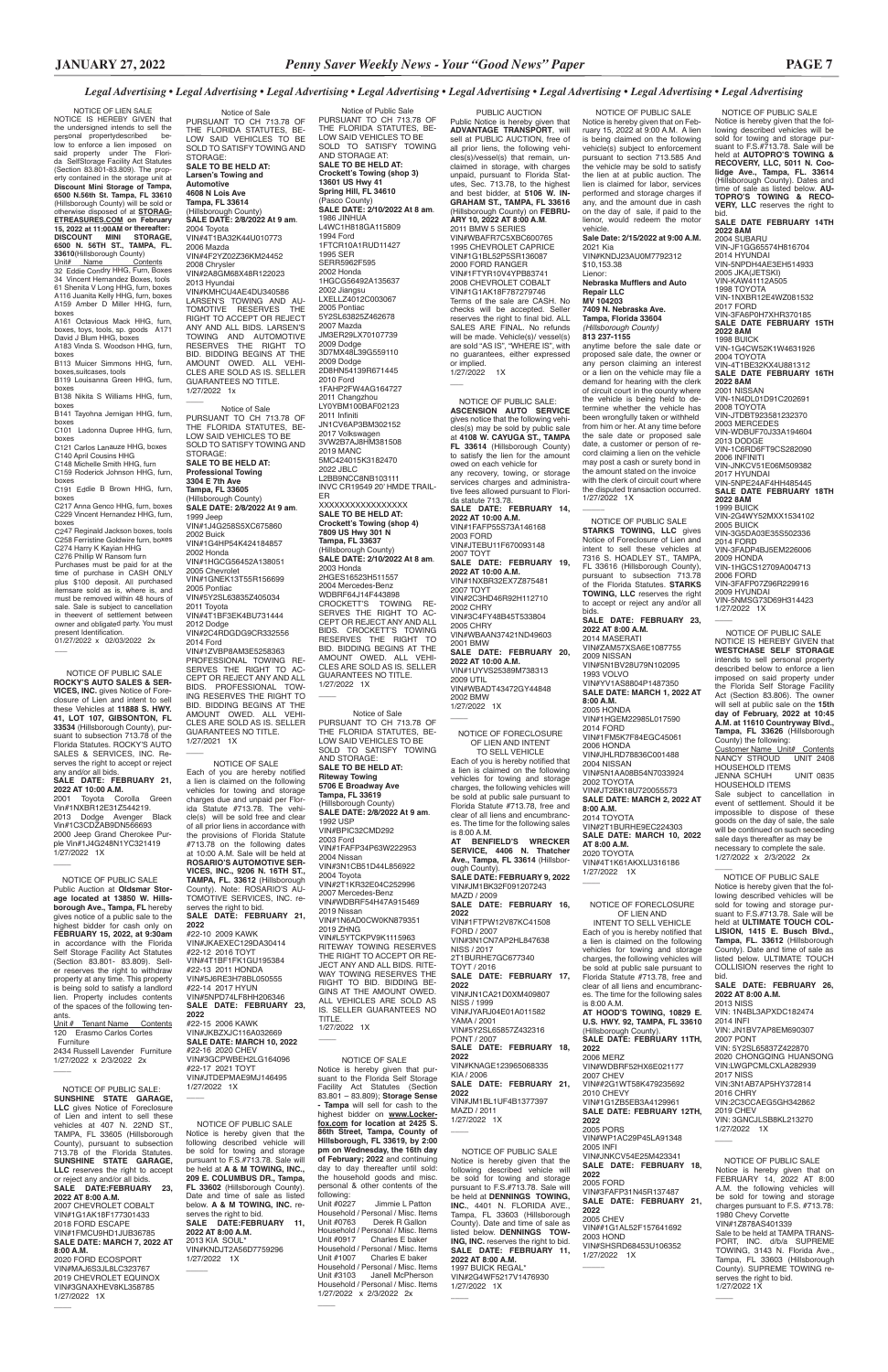$#22-15$  2006 KAWK VIN#JKBZXJC116A032669 **SALE DATE: MARCH 10, 2022** #22-16 2020 CHEV VIN#3GCPWBEH2LG164096 #22-17 2021 TOYT VIN#JTDEPMAE9MJ146495 1/27/2022 1X

### NOTICE OF SALE

 NOTICE OF LIEN SALE NOTICE IS HEREBY GIVEN that the undersigned intends to sell the personal propertydescribed be-low to enforce a lien imposed on said property under The Flori-da SelfStorage Facility Act Statutes (Section 83.801-83.809). The property contained in the storage unit at **Discount Mini Storage of Tampa, 6500 N.56th St. Tampa, FL 33610** (Hillsborough County) will be sold or<br>**ETREASURES.COM on February<br><b>15, 2022 at 11:00AM or thereafter:**<br>**DISCOUNT MINI STORAGE,<br>DISCOUNT MINI STORAGE,<br>6500 N. 56TH ST., TAMPA, FL. 33610**(Hillsborough County) <u>Unit# Name Contents</u><br>32 Eddie Condry HHG, Furn, Boxes

> Each of you are hereby notified a lien is claimed on the following vehicles for towing and storage charges due and unpaid per Florida Statute #713.78. The vehicle(s) will be sold free and clear of all prior liens in accordance with the provisions of Florida Statute #713.78 on the following dates at 10:00 A.M. Sale will be held at **ROSARIO'S AUTOMOTIVE SER-VICES, INC., 9206 N. 16TH ST., TAMPA, FL. 33612** (Hillsborough County). Note: ROSARIO'S AU-TOMOTIVE SERVICES, INC. reserves the right to bid. **SALE DATE: FEBRUARY 21, 2022**

#22-10 2009 KAWK VIN#JKAEXEC129DA30414 #22-12 2016 TOYT VIN#4T1BF1FK1GU195384 #22-13 2011 HONDA VIN#5J6RE3H78BL050555 #22-14 2017 HYUN VIN#5NPD74LF8HH206346

**SALE DATE: FEBRUARY** 

### **2022**

Purchases must be paid for at the time of purchase in CASH ONLY plus \$100 deposit. All purchased itemsare sold as is, where is, and must be removed within 48 hours of sale. Sale is subject to cancellation in theevent of settlement between owner and obligated party. You must present Identification. 01/27/2022 x 02/03/2022 2x

\_\_\_\_ NOTICE OF PUBLIC SALE: **SUNSHINE STATE GARAGE, LLC** gives Notice of Foreclosure of Lien and intent to sell these vehicles at 407 N. 22ND ST., TAMPA, FL 33605 (Hillsborough County), pursuant to subsection 713.78 of the Florida Statutes. **SUNSHINE STATE GARAGE, LLC** reserves the right to accept or reject any and/or all bids. **SALE DATE:FEBRUARY 23, 2022 AT 8:00 A.M.** 2007 CHEVROLET COBALT VIN#1G1AK18F177301433 2018 FORD ESCAPE VIN#1FMCU9HD1JUB36785 **SALE DATE: MARCH 7, 2022 AT** 

#### **8:00 A.M.** 2020 FORD ECOSPORT VIN#MAJ6S3JL8LC323767 2019 CHEVROLET EQUINOX VIN#3GNAXHEV8KL358785 1/27/2022 1X

 $\overline{\phantom{a}}$ 

Notice is hereby given that the following described vehicle will be sold for towing and storage pursuant to F.S.#713.78. Sale will **be held at <b>A & M TOWING, INC. 209 E. COLUMBUS DR., Tampa, FL 33602** (Hillsborough County). Date and time of sale as listed below. **A & M TOWING, INC.** reserves the right to bid. **SALE DATE:FEBRUARY 11, 2022 AT 8:00 A.M.** 2013 KIA SOUL\* VIN#KNDJT2A56D7759296 1/27/2022 1X  $\overline{\phantom{a}}$ 

34 Vincent Hernandez Boxes, tools 61 Shenita V Long HHG, furn, boxes A116 Juanita Kelly HHG, furn, boxes A159 Amber D Miller HHG, furn, boxes A161 Octavious Mack HHG, furn,

boxes, toys, tools, sp. goods A171 David J Blum HHG, boxes A183 Vinda S. Woodson HHG, furn, boxes

B113 Muicer Simmons HHG, furn, boxes,suitcases, tools

B119 Louisanna Green HHG, furn, boxes

B138 Nikita S Williams HHG, furn,

boxes B141 Tayohna Jernigan HHG, furn,

> following:<br>Unit #0227 Jimmie L Patton Household / Personal / Misc. Items<br>Unit #0763 Derek B Gallon Derek R Gallon Household / Personal / Misc. Items<br>Unit #0917 Charles E baker Unit #0917 Charles E baker Household / Personal / Misc. Items Unit #1007 Charles E baker Household / Personal / Misc. Items Unit #3103 Janell McPherson Household / Personal / Misc. Items 1/27/2022 x 2/3/2022 2x

Notice of Sale PURSUANT TO CH 713.78 OF THE FLORIDA STATUTES, BE-LOW SAID VEHICLES TO BE SOLD TO SATISFY TOWING AND STORAGE: **SALE TO BE HELD AT: Larsen's Towing and Automotive 4608 N Lois Ave Tampa, FL 33614** (Hillsborough County) **SALE DATE: 2/8/2022 At 9 am**. 2004 Toyota VIN#4T1BA32K44U010773 2006 Mazda VIN#4F2YZ02Z36KM24452 2008 Chrysler VIN#2A8GM68X48R122023 2013 Hyundai VIN#KMHCU4AE4DU340586 LARSEN'S TOWING AND AU-TOMOTIVE RESERVES THE RIGHT TO ACCEPT OR REJECT ANY AND ALL BIDS. LARSEN'S TOWING AND AUTOMOTIVE RESERVES THE RIGHT TO BID. BIDDING BEGINS AT THE AMOUNT OWED. ALL VEHI-CLES ARE SOLD AS IS. SELLER GUARANTEES NO TITLE. 1/27/2022 1x  $\overline{\phantom{a}}$ Notice of Sale PURSUANT TO CH 713.78 OF THE FLORIDA STATUTES, BE-LOW SAID VEHICLES TO BE SOLD TO SATISFY TOWING AND STORAGE: **SALE TO BE HELD AT: Professional Towing 3304 E 7th Ave Tampa, FL 33605** (Hillsborough County) **SALE DATE: 2/8/2022 At 9 am**. 1999 Jeep VIN#1J4G258S5XC675860 2002 Buick VIN#1G4HP54K424184857 2002 Honda VIN#1HGCG56452A138051 2005 Chevrolet VIN#1GNEK13T55R156699 2005 Pontiac VIN#5Y2SL63835Z405034 2011 Toyota VIN#4T1BF3EK4BU731444 2012 Dodge VIN#2C4RDGDG9CR332556 2014 Ford VIN#1ZVBP8AM3E5258363 PROFESSIONAL TOWING RE-SERVES THE RIGHT TO AC-CEPT OR REJECT ANY AND ALL BIDS. PROFESSIONAL TOW-ING RESERVES THE RIGHT TO BID. BIDDING BEGINS AT THE AMOUNT OWED. ALL VEHI-CLES ARE SOLD AS IS. SELLER GUARANTEES NO TITLE. 1/27/2021 1X  $\overline{\phantom{a}}$ 

boxes C101 Ladonna Dupree HHG, furn,

boxes C121 Carlos Lanauze HHG, boxes

C140 April Cousins HHG C148 Michelle Smith HHG, furn

C159 Roderick Johnson HHG, furn, boxes

C191 Eddie B Brown HHG, furn, boxes

C217 Anna Genco HHG, furn, boxes C229 Vincent Hernandez HHG, furn, boxes

C247 Reginald Jackson boxes, tools C258 Ferristine Goldwire furn, boxes C274 Harry K Kayian HHG C276 Phillip W Ransom furn

 NOTICE OF PUBLIC SALE **ROCKY'S AUTO SALES & SER-VICES, INC.** gives Notice of Foreclosure of Lien and intent to sell these Vehicles at **11888 S. HWY. 41, LOT 107, GIBSONTON, FL 33534** (Hillsborough County), pursuant to subsection 713.78 of the Florida Statutes. ROCKY'S AUTO SALES & SERVICES, INC. Reserves the right to accept or reject any and/or all bids. **SALE DATE: FEBRUARY 21,** 

> INTENT TO SELL VEHICLE Each of you is hereby notified that a lien is claimed on the following vehicles for towing and storage charges, the following vehicles will be sold at public sale pursuant to Florida Statute #713.78, free and clear of all liens and encumbrances. The time for the following sales is 8:00 A.M. **AT HOOD'S TOWING, 10829 E. U.S. HWY. 92, TAMPA, FL 33610** (Hillsborough County). **SALE DATE: FEBRUARY 11TH, 2022** 2006 MERZ VIN#WDBRF52HX6E021177 2007 CHEV VIN##2G1WT58K479235692 2010 CHEVY VIN#1G1ZB5EB3A4129961 **SALE DATE: FEBRUARY 12TH, 2022** 2005 PORS VIN#WP1AC29P45LA91348 2005 INFI VIN#JNKCV54E25M423341 **SALE DATE: FEBRUARY 18, 2022** 2005 FORD VIN#3FAFP31N45R137487 **SALE DATE: FEBRUARY 21, 2022** 2005 CHEV VIN##1G1AL52F157641692 2003 HOND VIN#SHSRD68453U106352 1/27/2022 1X  $\overline{\phantom{a}}$

**2022 AT 10:00 A.M.** 2001 Toyota Corolla Green Vin#1NXBR12E31Z544219. 2013 Dodge Avenger Black Vin#1C3CDZAB9DN566693 2000 Jeep Grand Cherokee Purple Vin#1J4G248N1YC321419 1/27/2022 1X

> NOTICE OF PUBLIC SALE Notice is hereby given that the following described vehicle will be sold for towing and storage pursuant to F.S.#713.78. Sale will be held at **DENNINGS TOWING, INC.**, 4401 N. FLORIDA AVE., Tampa, FL 33603 (Hillsborough County). Date and time of sale as listed below. **DENNINGS TOW-ING, INC.** reserves the right to bid. **SALE DATE: FEBRUARY 11, 2022 AT 8:00 A.M.**

1997 BUICK REGAL\* VIN#2G4WF5217V1476930 1/27/2022 1X

 $\overline{\phantom{a}}$ 

NOTICE OF PUBLIC SALE

- IS. SELLER GUARANTEES NO TITLE. 1/27/2022 1X
- $\overline{\phantom{a}}$

 $\overline{\phantom{a}}$ 

 NOTICE OF PUBLIC SALE Public Auction at **Oldsmar Stor-age located at 13850 W. Hillsborough Ave., Tampa, FL** hereby gives notice of a public sale to the highest bidder for cash only on **FEBRUARY 15, 2022, at 9:30am** in accordance with the Florida Self Storage Facility Act Statutes (Section 83.801- 83.809). Seller reserves the right to withdraw property at any time. This property is being sold to satisfy a landlord lien. Property includes contents of the spaces of the following tenants. Unit # Tenant Name Contents 120 Erasmo Carlos Cortes

Furniture

 $\overline{\phantom{a}}$ 

 $\overline{\phantom{a}}$ 

2434 Russell Lavender Furniture 1/27/2022 x 2/3/2022 2x

2003 FORD VIN#JTEBU11F670093148 2007 TOYT **SALE DATE: FEBRUARY 19, 2022 AT 10:00 A.M.** VIN#1NXBR32EX7Z875481 2007 TOYT VIN#2C3HD46R92H112710 2002 CHRY VIN#3C4FY48B45T533804 2005 CHRY VIN#WBAAN37421ND49603 2001 BMW **SALE DATE: FEBRUARY 20, 2022 AT 10:00 A.M.** VIN#1UYVS25389M738313 2009 UTIL VIN#WBADT43472GY44848 2002 BMW 1/27/2022 1X  $\overline{\phantom{a}}$ 

### NOTICE OF SALE

 PUBLIC AUCTION Public Notice is hereby given that **ADVANTAGE TRANSPORT**, will sell at PUBLIC AUCTION, free of all prior liens, the following vehicles(s)/vessel(s) that remain, unclaimed in storage, with charges unpaid, pursuant to Florida Statutes, Sec. 713.78, to the highest and best bidder, at **5106 W. IN-GRAHAM ST., TAMPA, FL 33616** (Hillsborough County) on **FEBRU-ARY 10, 2022 AT 8:00 A.M**. 2011 BMW 5 SERIES VIN#WBAFR7C5XBC600765 1995 CHEVROLET CAPRICE VIN#1G1BL52P5SR136087 2000 FORD RANGER VIN#1FTYR10V4YPB83741 2008 CHEVROLET COBALT VIN#1G1AK18F787279746 Terms of the sale are CASH. No checks will be accepted. Seller reserves the right to final bid. ALL SALES ARE FINAL. No refunds will be made. Vehicle(s)/ vessel(s) are sold "AS IS", "WHERE IS", with no guarantees, either expressed or implied. 1/27/2022 1X  $\overline{\phantom{a}}$  NOTICE OF PUBLIC SALE: **ASCENSION AUTO SERVICE**  gives notice that the following vehicles(s) may be sold by public sale at **4108 W. CAYUGA ST., TAMPA**  FL 33614 (Hillsborough County) to satisfy the lien for the amount owed on each vehicle for any recovery, towing, or storage services charges and administrative fees allowed pursuant to Florida statute 713.78. **SALE DATE: FEBRUARY 14, 2022 AT 10:00 A.M.** VIN#1FAFP55S73A146168

Notice is hereby given that pursuant to the Florida Self Storage Facility Act Statutes (Section 83.801 – 83.809); **Storage Sense - Tampa** will sell for cash to the highest bidder on **www.Lockerfox.com for location at 2425 S. 86th Street, Tampa, County of Hillsborough, FL 33619, by 2:00 pm on Wednesday, the 16th day of February; 2022** and continuing day to day thereafter until sold: the household goods and misc. personal & other contents of the

**SALE DATE FEBRUARY 14TH 2022 8AM** 2004 SUBARU VIN-JF1GG65574H816704 2014 HYUNDAI VIN-5NPDH4AE3EH514933 2005 JKA(JETSKI) VIN-KAW41112A505 1998 TOYOTA VIN-1NXBR12E4WZ081532 2017 FORD VIN-3FA6P0H7XHR370185 **SALE DATE FEBRUARY 15TH 2022 8AM** 1998 BUICK VIN-1G4CW52K1W4631926 2004 TOYOTA VIN-4T1BE32KX4U881312 **SALE DATE FEBRUARY 16TH 2022 8AM** 2001 NISSAN VIN-1N4DL01D91C202691 2008 TOYOTA VIN-JTDBT923581232370 2003 MERCEDES VIN-WDBUF70J33A194604 2013 DODGE VIN-1C6RD6FT9CS282090 2006 INFINITI VIN-JNKCV51E06M509382 2017 HYUNDAI VIN-5NPE24AF4HH485445 **SALE DATE FEBRUARY 18TH 2022 8AM** 1999 BUICK VIN-2G4WY52MXX1534102 2005 BUICK VIN-3G5DA03E35S502336 2014 FORD VIN-3FADP4BJ5EM226006 2009 HONDA VIN-1HGCS12709A004713 2006 FORD VIN-3FAFP07Z96R229916 2009 HYUNDAI<br>VIN-5NMSG73D69H314423<br>1/27/2022 1X<br>\_\_\_\_\_

 NOTICE OF PUBLIC SALE NOTICE IS HEREBY GIVEN that **WESTCHASE SELF STORAGE** intends to sell personal property described below to enforce a lien imposed on said property under the Florida Self Storage Facility Act (Section 83.806). The owner will sell at public sale on the **15th day of February, 2022 at 10:45 A.M. at 11610 Countryway Blvd., Tampa, FL 33626** (Hillsborough County) the following: Customer Name Unit# Contents NANCY STROUD UNIT 2408 HOUSEHOLD ITEMS JENNA SCHUH UNIT 0835 HOUSEHOLD ITEMS Sale subject to cancellation in event of settlement. Should it be impossible to dispose of these goods on the day of sale, the sale will be continued on such seceding sale days thereafter as may be necessary to complete the sale. 1/27/2022 x 2/3/2022 2x  $\overline{\phantom{a}}$ 

ER

VIN: 1N4BL3APXDC182474 2014 INFI VIN: JN1BV7AP8EM690307 2007 PONT VIN: 5Y2SL65837Z422870 2020 CHONGQING HUANSONG VIN:LWGPCMLCXLA282939 2017 NISS VIN:3N1AB7AP5HY372814 2016 CHRY VIN:2C3CCAEG5GH342862 2019 CHEV VIN: 3GNCJLSB8KL213270 1/27/2022 1X  $\overline{\phantom{a}}$ 

NOTICE OF FORECLOSURE OF LIEN AND

 $\overline{\phantom{a}}$ 

Notice of Public Sale PURSUANT TO CH 713.78 OF THE FLORIDA STATUTES, BE-LOW SAID VEHICLES TO BE SOLD TO SATISFY TOWING AND STORAGE AT: **SALE TO BE HELD AT: Crockett's Towing (shop 3) 13601 US Hwy 41 Spring Hill, FL 34610** (Pasco County) **SALE DATE: 2/10/2022 At 8 am**. 1986 JINHUA L4WC1H818GA115809 1994 Ford 1FTCR10A1RUD11427 1995 SER SERR5962F595 2002 Honda 1HGCG56492A135637 2002 Jiangsu LXELLZ4012C003067 2005 Pontiac 5Y2SL63825Z462678 2007 Mazda JM3ER29LX70107739 2009 Dodge 3D7MX48L39G559110 2009 Dodge 2D8HN54139R671445 2010 Ford 1FAHP2FW4AG164727 2011 Changzhou LY0YBM100BAF02123 2011 Infiniti JN1CV6AP3BM302152 2017 Volkswagen 3VW2B7AJ8HM381508 2019 MANC 5MC424015K3182470 2022 JBLC L2BB9NCC8NB103111 INVC CR19549 20' HMDE TRAIL-XXXXXXXXXXXXXXXXX **SALE TO BE HELD AT: Crockett's Towing (shop 4) 7809 US Hwy 301 N Tampa, FL 33637** (Hillsborough County) **SALE DATE: 2/10/2022 At 8 am**. 2003 Honda 2HGES16523H511557 2004 Mercedes-Benz WDBRF64J14F443898 CROCKETT'S TOWING RE-SERVES THE RIGHT TO AC-CEPT OR REJECT ANY AND ALL BIDS. CROCKETT'S TOWING RESERVES THE RIGHT TO BID. BIDDING BEGINS AT THE AMOUNT OWED. ALL VEHI-CLES ARE SOLD AS IS. SELLER GUARANTEES NO TITLE. 1/27/2022 1X  $\overline{\phantom{a}}$ Notice of Sale

> NOTICE OF FORECLOSURE OF LIEN AND INTENT TO SELL VEHICLE Each of you is hereby notified that a lien is claimed on the following vehicles for towing and storage charges, the following vehicles will be sold at public sale pursuant to Florida Statute #713.78, free and clear of all liens and encumbrances. The time for the following sales is 8:00 A.M. **AT BENFIELD'S WRECKER SERVICE, 4406 N. Thatcher Ave., Tampa, FL 33614** (Hillsborough County). **SALE DATE: FEBRUARY 9, 2022** VIN#JM1BK32F091207243 MAZD / 2009 **SALE DATE: FEBRUARY 16, 2022** VIN#1FTPW12V87KC41508 FORD / 2007 VIN#3N1CN7AP2HL847638 NISS / 2017 2T1BURHE7GC677340 TOYT / 2016 **SALE DATE: FEBRUARY 17, 2022** VIN#JN1CA21D0XM409807 NISS / 1999

| VIN#.IYAR.I04F01A011582 |  |
|-------------------------|--|
| YAMA / 2001             |  |
| VIN#5Y2SL65857Z432316   |  |
| PONT / 2007             |  |
| SALE DATE: FEBRUARY 18, |  |
| 2022                    |  |
| VIN#KNAGF123965068335   |  |
| KIA / 2006              |  |
| SALE DATE: FEBRUARY 21, |  |
| 2022                    |  |
|                         |  |
| VIN#JM1BL1UF4B1377397   |  |
| MAZD / 2011             |  |
| 1/27/2022 1X            |  |
|                         |  |

PURSUANT TO CH 713.78 OF THE FLORIDA STATUTES, BE-LOW SAID VEHICLES TO BE SOLD TO SATISFY TOWING AND STORAGE: **SALE TO BE HELD AT: Riteway Towing 5706 E Broadway Ave Tampa, FL 33619** (Hillsborough County) **SALE DATE: 2/8/2022 At 9 am**. 1992 USP VIN#BPIC32CMD292 2003 Ford VIN#1FAFP34P63W222953 2004 Nissan VIN#3N1CB51D44L856922 2004 Toyota VIN#2T1KR32E04C252996 2007 Mercedes-Benz VIN#WDBRF54H47A915469 2019 Nissan VIN#1N6AD0CW0KN879351 2019 ZHNG VIN#L5YTCKPV9K1115963 RITEWAY TOWING RESERVES THE RIGHT TO ACCEPT OR RE-JECT ANY AND ALL BIDS. RITE-WAY TOWING RESERVES THE RIGHT TO BID. BIDDING BE-GINS AT THE AMOUNT OWED. ALL VEHICLES ARE SOLD AS

 NOTICE OF PUBLIC SALE Notice is hereby given that on February 15, 2022 at 9:00 A.M. A lien is being claimed on the following vehicle(s) subject to enforcement pursuant to section 713.585 And the vehicle may be sold to satisfy the lien at at public auction. The lien is claimed for labor, services performed and storage charges if any, and the amount due in cash on the day of sale, if paid to the lienor, would redeem the motor vehicle. **Sale Date: 2/15/2022 at 9:00 A.M.** 2021 Kia

VIN#KNDJ23AU0M7792312 \$10,153.38 Lienor: **Nebraska Mufflers and Auto Repair LLC MV 104203 7409 N. Nebraska Ave. Tampa, Florida 33604**

*(Hillsborough County)* **813 237-1155** anytime before the sale date or

proposed sale date, the owner or any person claiming an interest or a lien on the vehicle may file a demand for hearing with the clerk of circuit court in the county where the vehicle is being held to determine whether the vehicle has been wrongfully taken or withheld from him or her. At any time before the sale date or proposed sale date, a customer or person of record claiming a lien on the vehicle may post a cash or surety bond in the amount stated on the invoice with the clerk of circuit court where the disputed transaction occurred. 1/27/2022 1X

 $\overline{\phantom{a}}$ 

 NOTICE OF PUBLIC SALE **STARKS TOWING, LLC** gives Notice of Foreclosure of Lien and intent to sell these vehicles at 7316 S. HOADLEY ST., TAMPA, FL 33616 (Hillsborough County), pursuant to subsection 713.78 of the Florida Statutes. **STARKS TOWING, LLC** reserves the right to accept or reject any and/or all bids. **SALE DATE: FEBRUARY 23, 2022 AT 8:00 A.M.** 2014 MASERATI VIN#ZAM57XSA6E1087755 2009 NISSAN VIN#5N1BV28U79N102095 1993 VOLVO VIN#YV1AS8804P1487350 **SALE DATE: MARCH 1, 2022 AT 8:00 A.M.** 2005 HONDA VIN#1HGEM22985L017590 2014 FORD VIN#1FM5K7F84EGC45061 2006 HONDA VIN#JHLRD78836C001488 2004 NISSAN VIN#5N1AA08B54N7033924 2002 TOYOTA VIN#JT2BK18U720055573 **SALE DATE: MARCH 2, 2022 AT 8:00 A.M.** 2014 TOYOTA VIN#2T1BURHE9EC224303 **SALE DATE: MARCH 10, 2022 AT 8:00 A.M.** 2020 TOYOTA VIN#4T1K61AKXLU316186 1/27/2022 1X

> NOTICE OF PUBLIC SALE Notice is hereby given that on FEBRUARY 14, 2022 AT 8:00 A.M. the following vehicles will be sold for towing and storage charges pursuant to F.S. #713.78: 1980 Chevy Corvette VIN#1Z878AS401339 Sale to be held at TAMPA TRANS-PORT, INC. d/b/a SUPREME TOWING, 3143 N. Florida Ave., Tampa, FL 33603 (Hillsborough County). SUPREME TOWING reserves the right to bid. 1/27/2022 1X

 $\overline{\phantom{a}}$ 

 NOTICE OF PUBLIC SALE Notice is hereby given that the following described vehicles will be sold for towing and storage pur-suant to F.S.#713.78. Sale will be held at **AUTOPRO'S TOWING & RECOVERY, LLC, 5011 N. Coo-lidge Ave., Tampa, FL. 33614** (Hillsborough County). Dates and time of sale as listed below. **AU-TOPRO'S TOWING & RECO-VERY, LLC** reserves the right to bid.

 NOTICE OF PUBLIC SALE Notice is hereby given that the following described vehicles will be sold for towing and storage pursuant to F.S.#713.78. Sale will be held at **ULTIMATE TOUCH COL-LISION, 1415 E. Busch Blvd., Tampa, FL. 33612** (Hillsborough County). Date and time of sale as listed below. ULTIMATE TOUCH COLLISION reserves the right to bid.

**SALE DATE: FEBRUARY 26, 2022 AT 8:00 A.M.** 2013 NISS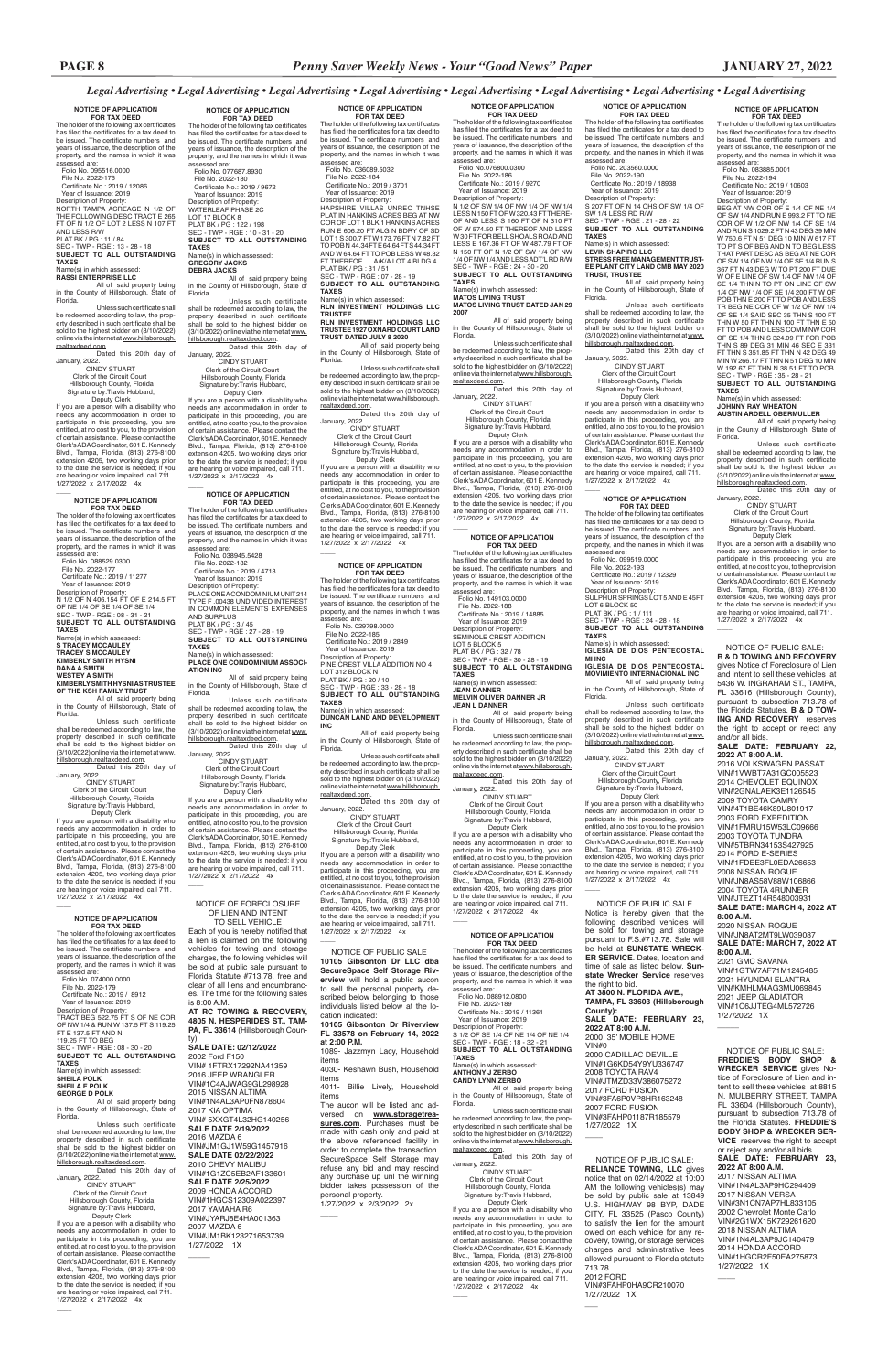**NOTICE OF APPLICATION FOR TAX DEED**<br>The holder of the following tax certificates<br>has filed the certificates for a tax deed to

be issued. The certificate numbers and years of issuance, the description of the property, and the names in which it was

assessed are:

 Folio No. 083885.0001 File No. 2022-194 Certificate No.: 2019 / 10603 Year of Issuance: 2019

Description of Property: BEG AT NW COR OF E 1/4 OF NE 1/4 OF SW 1/4 AND RUN E 993.2 FT TO NE COR OF W 1/2 OF NW 1/4 OF SE 1/4 AND RUN S 1029.2 FT N 43 DEG 39 MIN W 750.6 FT N 51 DEG 10 MIN W 617 FT TO PT S OF BEG AND N TO BEG LESS THAT PART DESC AS BEG AT NE COR OF SW 1/4 OF NW 1/4 OF SE 1/4 RUN S 367 FT N 43 DEG W TO PT 200 FT DUE W OF E LINE OF SW 1/4 OF NW 1/4 OF SE 1/4 THN N TO PT ON LINE OF SW 1/4 OF NW 1/4 OF SE 1/4 200 FT W OF POB THN E 200 FT TO POB AND LESS TR BEG NE COR OF W 1/2 OF NW 1/4 OF SE 1/4 SAID SEC 35 THN S 100 FT THN W 50 FT THN N 100 FT THN E 50 FT TO POB AND LESS COMM NW COR OF SE 1/4 THN S 324.09 FT FOR POB THN S 89 DEG 31 MIN 46 SEC E 331 FT THN S 351.85 FT THN N 42 DEG 49 MIN W 266.17 FT THN N 51 DEG 10 MIN W 192.67 FT THN N 38.51 FT TO POB SEC - TWP - RGE : 35 - 28 - 21 **SUBJECT TO ALL OUTSTANDING TAXES**<br>Name(s) in which assessed: Name(s) in which assessed: **JOHNNY RAY WHEATON AUSTIN ARDELL OBERMULLER** All of said property being in the County of Hillsborough, State of

SEC - TWP - RGE : 24 - 28 - 18 SUBJECT TO ALL OUTSTANDING Florida.

Unless such certificate

shall be redeemed according to law, the<br>property described in such certificate<br>shall be sold to the highest bidder on<br>(3/10/2022) online via the internet at <u>www.</u>

January, 2022.<br>CINDY STUART CINDY STUART Clerk of the Circuit Court Hillsborough County, Florida hillsborough.realtaxdeed.com. Dated this 20th day of January, 2022.

 CINDY STUART Clerk of the Circuit Court Hillsborough County, Florida Signature by:Travis Hubbard, Deputy Clerk If you are a person with a disability who needs any accommodation in order to participate in this proceeding, you are entitled, at no cost to you, to the provision of certain assistance. Please contact the Clerk's ADA Coordinator, 601 E. Kennedy Blvd., Tampa, Florida, (813) 276-8100 extension 4205, two working days prior to the date the service is needed; if you are hearing or voice impaired, call 711.

 Year of Issuance: 2019 Description of Property: S 207 FT OF N 14 CHS OF SW 1/4 OF SW 1/4 LESS RD R/W<br>SEC - TWP - RGE 121 - 28 - 22

# Name(s) in which assessed:<br>LEVIN SHAPIRO LLC **LEVIN SHAPIRO LLC STRESS FREE MANAGEMENT TRUST-EE PLANT CITY LAND CMB MAY 2020**

1/27/2022 x 2/17/2022 4x

#### **NOTICE OF APPLICATION FOR TAX DEED**

January, 2022. <sup>ZUZZ.</sup><br>CINDY STI IART

The holder of the following tax certificates has filed the certificates for a tax deed to be issued. The certificate numbers and years of issuance, the description of the property, and the names in which it was assessed are: Folio No. 099519.0000

If you are a person with a disability who needs any accommodation in order to participate in this proceeding, you are entitled, at no cost to you, to the provision of certain assistance. Please contact the<br>Clerk's ADA Coordinator 601 F. Kennedy Clerk's ADA Coordinator, 601 E. Kennedy Blvd., Tampa, Florida, (813) 276-8100 extension 4205, two working days prior to the date the service is needed; if you are hearing or voice impaired, call 711. 1/27/2022 x 2/17/2022 4x  $\overline{\phantom{a}}$ 

File No. 2022-193 Certificate No.: 2019 / 12329

 Year of Issuance: 2019 Description of Property: SULPHUR SPRINGS LOT 5 AND E 45FT

LOT 6 BLOCK 50 PLAT BK / PG : 1 / 111

**TAXES** Name(s) in which assessed: **IGLESIA DE DIOS PENTECOSTAL** 

**MI INC IGLESIA DE DIOS PENTECOSTAL MOVIMIENTO INTERNACIONAL INC** All of said property being in the County of Hillsborough, State of

Florida.

 $\overline{\phantom{a}}$ 

the right to bid.

 $\overline{\phantom{a}}$ 

Unless such certificate shall be redeemed according to law, the property described in such certificate shall be sold to the highest bidder on (3/10/2022) online via the internet at www. hillsborough.realtaxdeed.com. Dated this 20th day of

 Clerk of the Circuit Court Hillsborough County, Florida Signature by:Travis Hubbard, Deputy Clerk

**FOR TAX DEED** The holder of the following tax certificates has filed the certificates for a tax deed to be issued. The certificate numbers and years of issuance, the description of the property, and the names in which it was assessed are: Folio No. 149103.0000 File No. 2022-188 Certificate No.: 2019 / 14885 Year of Issuance: 2019 Description of Property: SEMINOLE CREST ADDITION LOT 5 BLOCK 5<br>PLAT BK / PG : 32 / 78<br>SEC - TWP - RGE - 30 - 28 - 19<br>**SUBJECT TO ALL OUTSTANDING** 

> Signature by:Travis Hubbard, Deputy Clerk If you are a person with a disability who needs any accommodation in order to participate in this proceeding, you are entitled, at no cost to you, to the provision of certain assistance. Please contact the Clerk's ADA Coordinator, 601 E. Kennedy

 $Name(s)$  in which assessed: **JEAN DANNER MELVIN OLIVER DANNER JR**

> Blvd., Tampa, Florida, (813) 276-8100 extension 4205, two working days prior to the date the service is needed; if you are hearing or voice impaired, call 711. 1/27/2022 x 2/17/2022 4x

Unless such certificate shall be redeemed according to law, the property described in such certificate shall be sold to the highest bidder on (3/10/2022)<br>online via the internet at <u>www.hillsborough.</u>

**NOTICE OF APPLICATION FOR TAX DEED** The holder of the following tax certificates has filed the certificates for a tax deed to be issued. The certificate numbers and years of issuance, the description of the property, and the names in which it was<br>assessed are: assessed are: Folio No. 203560.0000 File No. 2022-190 Certificate No.: 2019 / 18938

SEC - TWP - RGE : 21 - 28 - 22 **SUBJECT TO ALL OUTSTANDING TAXES**

**TRUST, TRUSTEE**

All of said property being in the County of Hillsborough, State of Florida.

Unless such certificate shall be redeemed according to law, the property described in such certificate shall be sold to the highest bidder on (3/10/2022) online via the internet at www. hillsborough.realtaxdeed.com. Dated this 20th day of

online via the internet at www.hillsborough. realtaxdeed.com. Dated this 20th day of January, 2022. CINDY STUART

 Clerk of the Circuit Court Hillsborough County, Florida Signature by:Travis Hubbard, Deputy Clerk

be redeemed according to law, the property described in such certificate shall be sold to the highest bidder on (3/10/2022)<br>online via the internet at <u>www.hillsborough.</u> realtaxdeed.com. **Dated this 20th day of** 

### **NOTICE OF APPLICATION**

**FOR TAX DEED** The holder of the following tax certificates has filed the certificates for a tax deed to

 $\overline{\phantom{a}}$ 

be issued. The certificate numbers and years of issuance, the description of the property, and the names in which it was assessed are:

Folio No. 088912.0800

 File No. 2022-189 Certificate No.: 2019 / 11361 Year of Issuance: 2019 Description of Property:<br>S 1/2 OF SE 1/4 OF NE 1/4 OF NE 1/4<br>SEC - TWP - RGE : 18 - 32 - 21<br>**SUBJECT TO ALL OUTSTANDING TAXES** Name(s) in which assessed: **ANTHONY J ZERBO CANDY LYNN ZERBO**

**FOR TAX DEED**<br>The holder of the following tax certificates<br>has filed the certificates for a tax deed to be issued. The certificate numbers and years of issuance, the description of the property, and the names in which it was assessed are: Folio No. 036089.5032 File No. 2022-184 Certificate No.: 2019 / 3701 Year of Issuance: 2019

> All of said property being in the County of Hillsborough, State of Florida.

Unless such certificate shall be redeemed according to law, the prop-erty described in such certificate shall be sold to the highest bidder on (3/10/2022) online via the internet at www.hillsborough.

realtaxdeed.com. Dated this 20th day of January, 2022. CINDY STUART

If you are a person with a disability who needs any accommodation in order to<br>participate in this proceeding, you are<br>entitled, at no cost to you, to the provision<br>of certain assistance. Please contact the<br>Clerk's ADA Coordinator, 601 E. Kennedy Blvd., Tampa, Florida, (813) 276-8100 extension 4205, two working days prior to the date the service is needed; if you are hearing or voice impaired, call 711. 1/27/2022 x 2/17/2022 4x

 $\overline{\phantom{a}}$ 

### **NOTICE OF APPLICATION**

**FOR TAX DEED**<br>The holder of the following tax certificates<br>has filed the certificates for a tax deed to be issued. The certificate numbers and years of issuance, the description of the property, and the names in which it was assessed are: Folio No. 038945.5428 File No. 2022-182 Certificate No.: 2019 / 4713 Year of Issuance: 2019 Description of Property:

PLACE ONE A CONDOMINIUM UNIT 214<br>TYPE F .00438 UNDIVIDED INTEREST<br>IN COMMON ELEMENTS EXPENSES AND SURPLUS PLAT BK / PG : 3 / 45 SEC - TWP - RGE : 27 - 28 - 19 **SUBJECT TO ALL OUTSTANDING TAXES** Name(s) in which assessed: **PLACE ONE CONDOMINIUM ASSOCI-ATION INC**

 Deputy Clerk If you are a person with a disability who needs any accommodation in order to participate in this proceeding, you are entitled, at no cost to you, to the provision of certain assistance. Please contact the Clerk's ADA Coordinator, 601 E. Kennedy Blvd., Tampa, Florida, (813) 276-8100 extension 4205, two working days prior to the date the service is needed; if you are hearing or voice impaired, call 711. 1/27/2022 x 2/17/2022 4x  $\overline{\phantom{a}}$ 

**TAXES**

 $\overline{\phantom{a}}$ 

**JEAN L DANNER** All of said property being in the County of Hillsborough, State of Florida.

realtaxdeed.com. **Dated this 20th day of** January, 2022.

Unless such certificate shall be redeemed according to law, the property described in such certificate shall be sold to the highest bidder on<br>(3/10/2022) online via the internet at <u>www.</u><br>hillsborough.realtaxdeed.com.<br>Dated this 20th day of

> CINDY STUART Clerk of the Circuit Court Hillsborough County, Florida Signature by:Travis Hubbard, Deputy Clerk

If you are a person with a disability who needs any accommodation in order to participate in this proceeding, you are entitled, at no cost to you, to the provision of certain assistance. Please contact the Clerk's ADA Coordinator, 601 E. Kenned Blvd., Tampa, Florida, (813) 276-8100 extension 4205, two working days prior to the date the service is needed; if you are hearing or voice impaired, call 711. 1/27/2022 x 2/17/2022 4x

 File No. 2022-179 Certificate No.: 2019 / 8912 Year of Issuance: 2019<br>Description of Property:

**NOTICE OF APPLICATION FOR TAX DEED** The holder of the following tax certificates has filed the certificates for a tax deed to be issued. The certificate numbers and years of issuance, the description of the property, and the names in which it was

assessed are: Folio No.076800.0300 File No. 2022-186 Certificate No.: 2019 / 9270 Year of Issuance: 2019 Description of Property: N 1/2 OF SW 1/4 OF NW 1/4 OF NW 1/4 LESS N 150 FT OF W 320.43 FT THERE-

OF AND LESS S 160 FT OF N 310 FT OF W 574.50 FT THEREOF AND LESS W 30 FT FOR BELL SHOALS ROAD AND LESS E 167.36 FT OF W 487.79 FT OF N 150 FT OF N 1/2 OF SW 1/4 OF NW 1/4 OF NW 1/4 AND LESS ADT'L RD R/W SEC - TWP - RGE : 24 - 30 - 20 **SUBJECT TO ALL OUTSTANDING TAXES** Name(s) in which assessed:

#### **MATOS LIVING TRUST MATOS LIVING TRUST DATED JAN 29 2007**

All of said property being in the County of Hillsborough, State of Florida. Unless such certificate shall be redeemed according to law, the property described in such certificate shall be sold to the highest bidder on (3/10/2022)

January, 2022. CINDY STUART Clerk of the Circuit Court Hillsborough County, Florida Signature by:Travis Hubbard

 Clerk of the Circuit Court Hillsborough County, Florida Signature by:Travis Hubbard,

 Deputy Clerk If you are a person with a disability who needs any accommodation in order to participate in this proceeding, you are entitled, at no cost to you, to the provision of certain assistance. Please contact the Clerk's ADA Coordinator, 601 E. Kennedy Blvd., Tampa, Florida, (813) 276-8100 extension 4205, two working days prior to the date the service is needed; if you are hearing or voice impaired, call 711. 1/27/2022 x 2/17/2022 4x

### **NOTICE OF APPLICATION**

 $\overline{\phantom{a}}$ 

Signature by: Travis Hubbard. Deputy Clerk If you are a person with a disability who needs any accommodation in order to

> **FOR TAX DEED** The holder of the following tax certificates has filed the certificates for a tax deed to be issued. The certificate numbers and years of issuance, the description of the property, and the names in which it was assessed are: Folio No. 029798.0000 File No. 2022-185 Certificate No.: 2019 / 2849 Year of Issuance: 2019 Description of Property: PINE CREST VILLA ADDITION NO 4 LOT 312 BLOCK N PLAT BK / PG : 20 / 10 SEC - TWP - RGE : 33 - 28 - 18 **SUBJECT TO ALL OUTSTANDING TAXES** Name(s) in which assessed: **DUNCAN LAND AND DEVELOPMENT INC** All of said property being in the County of Hillsborough, State of Florida. Unless such certificate shall

January, 2022.

 CINDY STUART Clerk of the Circuit Court Hillsborough County, Florida Signature by:Travis Hubbard,

Deputy Clerk

If you are a person with a disability who needs any accommodation in order to participate in this proceeding, you are entitled, at no cost to you, to the provision of certain assistance. Please contact the Clerk's ADA Coordinator, 601 E. Kennedy Blvd., Tampa, Florida, (813) 276-8100 extension 4205, two working days prior to the date the service is needed; if you are hearing or voice impaired, call 711. 1/27/2022 x 2/17/2022 4x

# **NOTICE OF APPLICATION**

1/27/2022 1X  $\overline{\phantom{a}}$ 

Description of Property: HAPSHIRE VILLAS UNREC TNHSE PLAT IN HANKINS ACRES BEG AT NW COR OF LOT 1 BLK 1 HANKINS ACRES RUN E 606.20 FT ALG N BDRY OF SD LOT 1 S 300.7 FT W 173.76 FT N 7.82 FT TO POB N 44.34 FT E 64.64 FT S 44.34 FT AND W 64.64 FT TO POB LESS W 48.32

 $\overline{\phantom{a}}$  NOTICE OF PUBLIC SALE **10105 Gibsonton Dr LLC dba SecureSpace Self Storage Riverview** will hold a public aucon to sell the personal property described below belonging to those individuals listed below at the location indicated:

# FT THEREOF .....A/K/A LOT 4 BLDG 4 PLAT BK / PG : 31 / 51 SEC - TWP - RGE : 07 - 28 - 19 **SUBJECT TO ALL OUTSTANDING**

**TAXES**

Name(s) in which assessed: **RLN INVESTMENT HOLDINGS LLC** 

Each of you is hereby notified that a lien is claimed on the following vehicles for towing and storage charges, the following vehicles will be sold at public sale pursuant to Florida Statute #713.78, free and clear of all liens and encumbrances. The time for the following sales is 8:00 A.M.

**TRUSTEE RLN INVESTMENT HOLDINGS LLC TRUSTEE 1927 OXNARD COURT LAND TRUST DATED JULY 8 2020**

All of said property being in the County of Hillsborough, State of Florida.

Unless such certificate shall be redeemed according to law, the prop-erty described in such certificate shall be sold to the highest bidder on (3/10/2022) online via the internet at www.hillsborough.

realtaxdeed.com. Dated this 20th day of

January, 2022. CINDY STUART Clerk of the Circuit Court Hillsborough County, Florida

 Signature by:Travis Hubbard, Deputy Clerk If you are a person with a disability who needs any accommodation in order to participate in this proceeding, you are entitled, at no cost to you, to the provision of certain assistance. Please contact the Clerk's ADA Coordinator, 601 E. Kennedy Blvd., Tampa, Florida, (813) 276-8100 extension 4205, two working days prior to the date the service is needed; if you are hearing or voice impaired, call 711. 1/27/2022 x 2/17/2022 4x

# **NOTICE OF APPLICATION**

 $\overline{\phantom{a}}$ 

All of said property being in the County of Hillsborough, State of Florida.

Unless such certificate shall be redeemed according to law, the property described in such certificate shall be sold to the highest bidder on (3/10/2022) online via the internet at www. hillsborough.realtaxdeed.com. Dated this 20th day of

January, 2022. CINDY STUART Clerk of the Circuit Court Hillsborough County, Florida Signature by:Travis Hubbard,

**NOTICE OF APPLICATION FOR TAX DEED**

The holder of the following tax certificates has filed the certificates for a tax deed to be issued. The certificate numbers and years of issuance, the description of the property, and the names in which it was assessed are: Folio No. 077687.8930 File No. 2022-180 Certificate No.: 2019 / 9672 Year of Issuance: 2019 Description of Property: WATERLEAF PHASE 2C<br>LOT 17 BLOCK 8 LOT 17 BLOCK 8 PLAT BK / PG : 122 / 198 SEC - TWP - RGE : 10 - 31 - 20 **SUBJECT TO ALL OUTSTANDING** 

**TAXES** Name(s) in which assessed: **GREGORY JACKS DEBRA JACKS** All of said property being in the County of Hillsborough, State of

Florida.

January, 2022. CINDY STUART Clerk of the Circuit Court Hillsborough County, Florida

Signature by:Travis Hubbard, Deputy Clerk If you are a person with a disability who

needs any accommodation in order to participate in this proceeding, you are entitled, at no cost to you, to the provision of certain assistance. Please contact the Clerk's ADA Coordinator, 601 E. Kennedy Blvd., Tampa, Florida, (813) 276-8100 extension 4205, two working days prior to the date the service is needed; if you are hearing or voice impaired, call 711. 1/27/2022 x 2/17/2022 4x

### **NOTICE OF APPLICATION FOR TAX DEED**

The holder of the following tax certificates has filed the certificates for a tax deed to be issued. The certificate numbers and<br>vears of issuance, the description of the years of issuance, the description of the property, and the names in which it was assessed are:

Folio No. 074000.0000

Description of Property: TRACT BEG 522.75 FT S OF NE COR OF NW 1/4 & RUN W 137.5 FT S 119.25 FT E 137.5 FT AND N 119.25 FT TO BEG SEC - TWP - RGE : 08 - 30 - 20 **SUBJECT TO ALL OUTSTANDING TAXES** Name(s) in which assessed:

#### **SHEILA POLK SHEILA E POLK GEORGE D POLK**

All of said property being in the County of Hillsborough, State of Florida.

Unless such certificate shall be redeemed according to law, the property described in such certificate shall be sold to the highest bidder on (3/10/2022) online via the internet at www. hillsborough.realtaxdeed.com. Dated this 20th day of

January, 2022.<br>CINDY STUART

 CINDY STUART Clerk of the Circuit Court Hillsborough County, Florida Signature by: Travis Hubbard, Deputy Clerk If you are a person with a disability who

needs any accommodation in order to participate in this proceeding, you are entitled, at no cost to you, to the provision of certain assistance. Please contact the Clerk's ADA Coordinator, 601 E. Kennedy Blvd., Tampa, Florida, (813) 276-8100 extension 4205, two working days prior to the date the service is needed; if you are hearing or voice impaired, call 711. 1/27/2022 x 2/17/2022 4x

 $\overline{\phantom{a}}$ 

# **NOTICE OF APPLICATION FOR TAX DEED**

The holder of the following tax certificates has filed the certificates for a tax deed to be issued. The certificate numbers and years of issuance, the description of the property, and the names in which it was assessed are: Folio No. 088529.0300

 $\overline{\phantom{a}}$ 

 File No. 2022-177 Certificate No.: 2019 / 11277 Year of Issuance: 2019 Description of Property: N 1/2 OF N 406.154 FT OF E 214.5 FT OF NE 1/4 OF SE 1/4 OF SE 1/4 SEC - TWP - RGE : 08 - 31 - 21 **SUBJECT TO ALL OUTSTANDING TAXES** Name(s) in which assessed: **S TRACEY MCCAULEY TRACEY S MCCAULEY KIMBERLY SMITH HYSNI DANA A SMITH WESTEY A SMITH KIMBERLY SMITH HYSNI AS TRUSTEE OF THE KSH FAMILY TRUST** All of said property being in the County of Hillsborough, State of

Florida.

 $\overline{\phantom{a}}$ 

Unless such certificate shall be redeemed according to law, the property described in such certificate shall be sold to the highest bidder on (3/10/2022) online via the internet at www. hillsborough.realtaxdeed.com. Dated this 20th day of

 Deputy Clerk If you are a person with a disability who needs any accommodation in order to participate in this proceeding, you are entitled, at no cost to you, to the provision of certain assistance. Please contact the Clerk's ADA Coordinator, 601 E. Kennedy Blvd., Tampa, Florida, (813) 276-8100 extension 4205, two working days prior to the date the service is needed; if you are hearing or voice impaired, call 711. 1/27/2022 x 2/17/2022 4x

### **NOTICE OF APPLICATION FOR TAX DEED**

The holder of the following tax certificates has filed the certificates for a tax deed to be issued. The certificate numbers and years of issuance, the description of the property, and the names in which it was assessed are: Folio No. 095516.0000 File No. 2022-176 Certificate No.: 2019 / 12086 Year of Issuance: 2019 Description of Property: NORTH TAMPA ACREAGE N 1/2 OF

THE FOLLOWING DESC TRACT E 265 FT OF N 1/2 OF LOT 2 LESS N 107 FT AND LESS R/W PLAT BK / PG : 11 / 84 SEC - TWP - RGE : 13 - 28 - 18

**SUBJECT TO ALL OUTSTANDING TAXES**

# Name(s) in which assessed:<br>RASSI FNTFRPRISE I I C

**RASSI ENTERPRISE LLC**  All of said property being in the County of Hillsborough, State of Florida.

Unless such certificate shall be redeemed according to law, the prop-erty described in such certificate shall be sold to the highest bidder on (3/10/2022) online via the internet at www.hillsborough.

realtaxdeed.com. Dated this 20th day of January, 2022.

CINDY STUART Clerk of the Circuit Court Hillsborough County, Florida

participate in this proceeding, you are entitled, at no cost to you, to the provision of certain assistance. Please contact the Clerk's ADA Coordinator, 601 E. Kennedy Blvd., Tampa, Florida, (813) 276-8100 extension 4205, two working days prior to the date the service is needed; if you are hearing or voice impaired, call 711. 1/27/2022 x 2/17/2022 4x

### *Legal Advertising • Legal Advertising • Legal Advertising • Legal Advertising • Legal Advertising • Legal Advertising • Legal Advertising • Legal Advertising*

 NOTICE OF PUBLIC SALE: **FREDDIE'S BODY SHOP & WRECKER SERVICE** gives Notice of Foreclosure of Lien and intent to sell these vehicles at 8815 N. MULBERRY STREET, TAMPA FL 33604 (Hillsborough County), pursuant to subsection 713.78 of the Florida Statutes. **FREDDIE'S BODY SHOP & WRECKER SER-VICE** reserves the right to accept or reject any and/or all bids. **SALE DATE: FEBRUARY 23, 2022 AT 8:00 A.M.** 2017 NISSAN ALTIMA VIN#1N4AL3AP9HC294409 2017 NISSAN VERSA VIN#3N1CN7AP7HL833105 2002 Chevrolet Monte Carlo VIN#2G1WX15K729261620 2018 NISSAN ALTIMA VIN#1N4AL3AP9JC140479 2014 HONDA ACCORD VIN#1HGCR2F50EA275873 1/27/2022 1X

 $\overline{\phantom{a}}$ 

 NOTICE OF PUBLIC SALE: **B & D TOWING AND RECOVERY**  gives Notice of Foreclosure of Lien and intent to sell these vehicles at 5436 W. INGRAHAM ST., TAMPA, FL 33616 (Hillsborough County), pursuant to subsection 713.78 of the Florida Statutes. **B & D TOW-ING AND RECOVERY** reserves the right to accept or reject any

and/or all bids.

**SALE DATE: FEBRUARY 22,** 

 $\overline{\phantom{a}}$ 

**2022 AT 8:00 A.M.** 2016 VOLKSWAGEN PASSAT VIN#1VWBT7A31GC005523 2014 CHEVOLET EQUINOX VIN#2GNALAEK3E1126545 2009 TOYOTA CAMRY VIN#4T1BE46K89U801917 2003 FORD EXPEDITION VIN#1FMRU15W53LC09666 2003 TOYOTA TUNDRA VIN#5TBRN34153S427925 2014 FORD E-SERIES VIN#1FDEE3FL0EDA26653 2008 NISSAN ROGUE VIN#JN8AS58V88W106866 2004 TOYOTA 4RUNNER VIN#JTEZT14R548003931 **SALE DATE: MARCH 4, 2022 AT** 

**8:00 A.M.**

2020 NISSAN ROGUE VIN#JN8AT2MT9LW039087 **SALE DATE: MARCH 7, 2022 AT** 

**8:00 A.M.** 2021 GMC SAVANA VIN#1GTW7AF71M1245485 2021 HYUNDAI ELANTRA VIN#KMHLM4AG3MU069845

 $\overline{\phantom{a}}$ 

2021 JEEP GLADIATOR VIN#1C6JJTEG4ML5727 1/27/2022 1X

NOTICE OF PUBLIC SALE Notice is hereby given that the following described vehicles will be sold for towing and storage pursuant to F.S.#713.78. Sale will be held at **SUNSTATE WRECK-ER SERVICE**. Dates, location and time of sale as listed below. **Sunstate Wrecker Service** reserves

**AT 3800 N. FLORIDA AVE., TAMPA, FL 33603 (Hillsborough** 

**County): SALE DATE: FEBRUARY 23, 2022 AT 8:00 A.M.** 2000 35' MOBILE HOME

VIN#0 2000 CADILLAC DEVILLE VIN#1G6KD54Y9YU336747 2008 TOYOTA RAV4 VIN#JTMZD33V386075272 2017 FORD FUSION VIN#3FA6P0VP8HR163248 2007 FORD FUSION VIN#3FAHP01187R185579 1/27/2022 1X

 NOTICE OF PUBLIC SALE: **RELIANCE TOWING, LLC** gives notice that on 02/14/2022 at 10:00 AM the following vehicles(s) may be sold by public sale at 13849 U.S. HIGHWAY 98 BYP, DADE CITY, FL 33525 (Pasco County) to satisfy the lien for the amount owed on each vehicle for any recovery, towing, or storage services charges and administrative fees allowed pursuant to Florida statute 713.78. 2012 FORD VIN#3FAHP0HA9CR210070

**10105 Gibsonton Dr Riverview FL 33578 on February 14, 2022 at 2:00 P.M.**

1089- Jazzmyn Lacy, Household items 4030- Keshawn Bush, Household

items

4011- Billie Lively, Household items

The aucon will be listed and adversed on **www.storagetreasures.com**. Purchases must be made with cash only and paid at the above referenced facility in order to complete the transaction. SecureSpace Self Storage may refuse any bid and may rescind any purchase up unl the winning bidder takes possession of the personal property. 1/27/2022 x 2/3/2022 2x

 $\overline{\phantom{a}}$ 

### NOTICE OF FORECLOSURE OF LIEN AND INTENT TO SELL VEHICLE

**AT RC TOWING & RECOVERY, 4805 N. HESPERIDES ST., TAM-PA, FL 33614** (Hillsborough County) **SALE DATE: 02/12/2022** 2002 Ford F150 VIN# 1FTRX17292NA41359 2016 JEEP WRANGLER VIN#1C4AJWAG9GL298928 2015 NISSAN ALTIMA VIN#1N4AL3AP0FN878604 2017 KIA OPTIMA VIN# 5XXGT4L32HG140256 **SALE DATE 2/19/2022** 2016 MAZDA 6 VIN#JM1GJ1W59G1457916 **SALE DATE 02/22/2022** 2010 CHEVY MALIBU VIN#1G1ZC5EB2AF133601 **SALE DATE 2/25/2022** 2009 HONDA ACCORD VIN#1HGCS12309A022397 2017 YAMAHA R6 VIN#JYARJ8E4HA001363 2007 MAZDA 6 VIN#JM1BK123271653739 1/27/2022 1X

 $\overline{\phantom{a}}$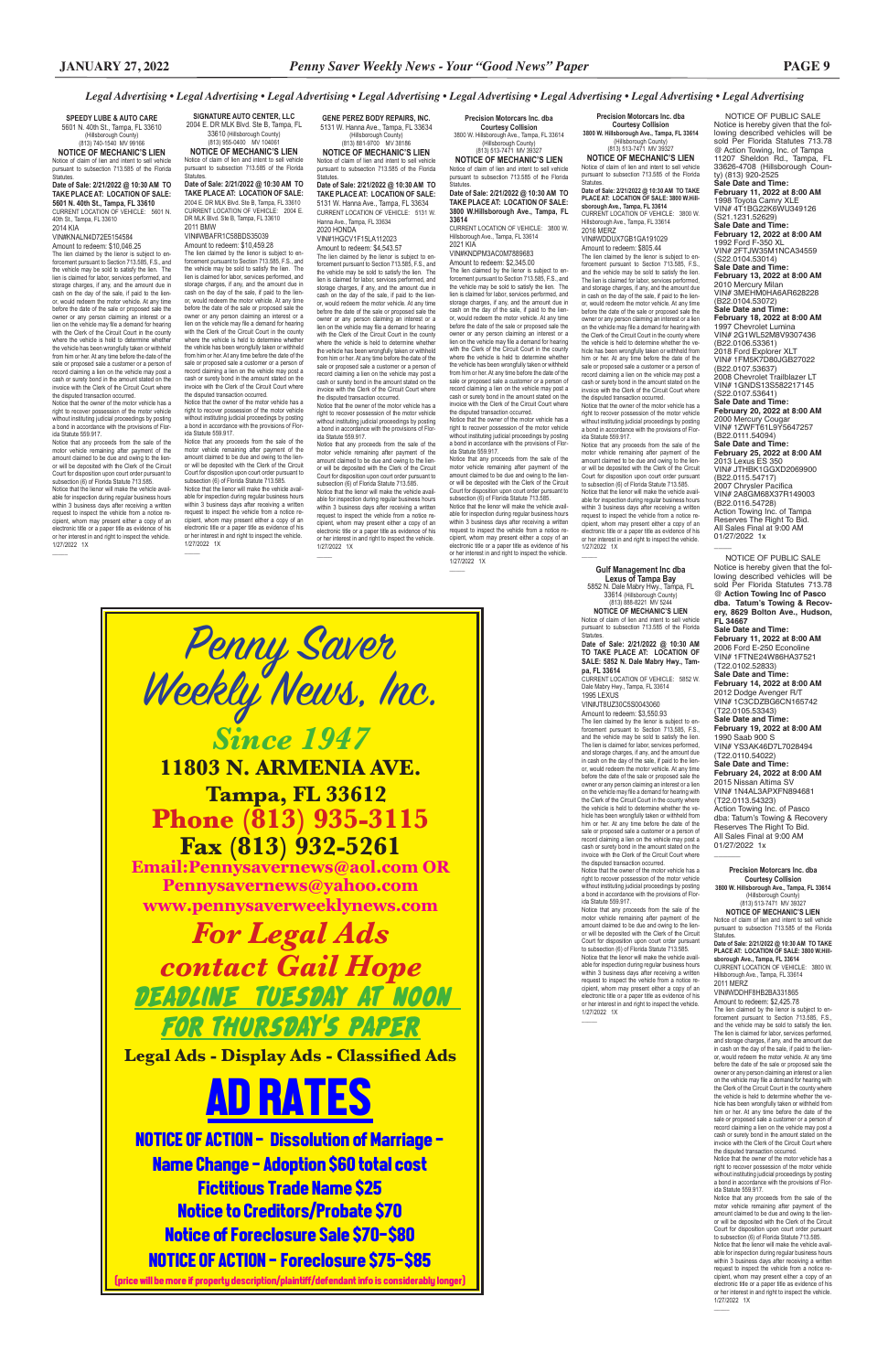Notice is hereby given that the fol-lowing described vehicles will be sold Per Florida Statutes 713.78 @ Action Towing, Inc. of Tampa 11207 Sheldon Rd., Tampa, FL 33626-4708 (Hillsborough County) (813) 920-2525 **Sale Date and Time: February 11, 2022 at 8:00 AM** 1998 Toyota Camry XLE VIN# 4T1BG22K6WU349126 (S21.1231.52629) **Sale Date and Time: February 12, 2022 at 8:00 AM** 1992 Ford F-350 XL VIN# 2FTJW35M1NCA34559 (S22.0104.53014) **Sale Date and Time: February 13, 2022 at 8:00 AM** 2010 Mercury Milan VIN# 3MEHM0HA6AR628228 (B22.0104.53072) **Sale Date and Time: February 18, 2022 at 8:00 AM** 1997 Chevrolet Lumina VIN# 2G1WL52M8V9307436 (B22.0106.53361) 2018 Ford Explorer XLT VIN# 1FM5K7D80JGB27022 (B22.0107.53637) 2008 Chevrolet Trailblazer LT VIN# 1GNDS13S582217145 (S22.0107.53641) **Sale Date and Time: February 20, 2022 at 8:00 AM** 2000 Mercury Cougar VIN# 1ZWFT61L9Y5647257 (B22.0111.54094) **Sale Date and Time: February 25, 2022 at 8:00 AM** 2013 Lexus ES 350 VIN# JTHBK1GGXD2069900 (B22.0115.54717) 2007 Chrysler Pacifica VIN# 2A8GM68X37R149003 (B22.0116.54728) Action Towing Inc. of Tampa Reserves The Right To Bid. All Sales Final at 9:00 AM 01/27/2022 1x  $\overline{\phantom{a}}$ 

NOTICE OF PUBLIC SALE

*Legal Advertising • Legal Advertising • Legal Advertising • Legal Advertising • Legal Advertising • Legal Advertising • Legal Advertising • Legal Advertising*

NOTICE OF PUBLIC SALE Notice is hereby given that the following described vehicles will be sold Per Florida Statutes 713.78 @ **Action Towing Inc of Pasco dba. Tatum's Towing & Recovery, 8629 Bolton Ave., Hudson,** 

**FL 34667**

**Sale Date and Time: February 11, 2022 at 8:00 AM** 2006 Ford E-250 Econoline VIN# 1FTNE24W86HA37521 (T22.0102.52833)

**Sale Date and Time:**

**February 14, 2022 at 8:00 AM** 2012 Dodge Avenger R/T VIN# 1C3CDZBG6CN165742 (T22.0105.53343)

**Sale Date and Time: February 19, 2022 at 8:00 AM** 1990 Saab 900 S

VIN# YS3AK46D7L7028494 (T22.0110.54022)

**Sale Date and Time: February 24, 2022 at 8:00 AM**

2015 Nissan Altima SV VIN# 1N4AL3APXFN894681 (T22.0113.54323)

Action Towing Inc. of Pasco dba: Tatum's Towing & Recovery Reserves The Right To Bid. All Sales Final at 9:00 AM 01/27/2022 1x

 $\overline{\phantom{a}}$ 

**Precision Motorcars Inc. dba Courtesy Collision**

**3800 W. Hillsborough Ave., Tampa, FL 33614** (Hillsborough County) (813) 513-7471 MV 39327 **NOTICE OF MECHANIC'S LIEN**

> Notice of claim of lien and intent to sell vehicle pursuant to subsection 713.585 of the Florida **Statutes**

Notice of claim of lien and intent to sell vehicle pursuant to subsection 713.585 of the Florida Statutes.

**Date of Sale: 2/21/2022 @ 10:30 AM TO TAKE PLACE AT: LOCATION OF SALE: 3800 W.Hill-sborough Ave., Tampa, FL 33614**

CURRENT LOCATION OF VEHICLE: 3800 W. Hillsborough Ave., Tampa, FL 33614

2016 MERZ VIN#WDDUX7GB1GA191029

Amount to redeem: \$805.44

The lien claimed by the lienor is subject to en-

forcement pursuant to Section 713.585, F.S., and the vehicle may be sold to satisfy the lien. The lien is claimed for labor, services performed, and storage charges, if any, and the amount due in cash on the day of the sale, if paid to the lienor, would redeem the motor vehicle. At any time before the date of the sale or proposed sale the owner or any person claiming an interest or a lien on the vehicle may file a demand for hearing with the Clerk of the Circuit Court in the county where the vehicle is held to determine whether the ve-hicle has been wrongfully taken or withheld from him or her. At any time before the date of the sale or proposed sale a customer or a person of record claiming a lien on the vehicle may post a cash or surety bond in the amount stated on the invoice with the Clerk of the Circuit Court where

> 1/27/2022 1X  $\mathcal{L}$

the disputed transaction occurred. Notice that the owner of the motor vehicle has a right to recover possession of the motor vehicle

without instituting judicial proceedings by posting a bond in accordance with the provisions of Flor-ida Statute 559.917.

Notice that any proceeds from the sale of the or will be deposited with the Clerk of the Circuit request to inspect the vehicle from a notice re-

motor vehicle remaining after payment of the amount claimed to be due and owing to the lien-Court for disposition upon court order pursuant to subsection (6) of Florida Statute 713.585. Notice that the lienor will make the vehicle available for inspection during regular business hours within 3 business days after receiving a written cipient, whom may present either a copy of an electronic title or a paper title as evidence of his or her interest in and right to inspect the vehicle. 1/27/2022 1X

**Precision Motorcars Inc. dba Courtesy Collision 3800 W. Hillsborough Ave., Tampa, FL 33614**

# $\mathcal{L}$ \_\_\_\_\_ **Gulf Management Inc dba**

**Lexus of Tampa Bay**<br>5852 N. Dale Mabry Hwy., Tampa, FL<br>33614 (Hillsborough County)<br>(813) 888-8221 *MV* 5244 **NOTICE OF MECHANIC'S LIEN**

(Hillsborough County) (813) 513-7471MV 39327 **NOTICE OF MECHANIC'S LIEN**

**Date of Sale: 2/21/2022 @ 10:30 AM TO TAKE PLACE AT: LOCATION OF SALE: 3800 W.Hill-sborough Ave., Tampa, FL 33614** CURRENT LOCATION OF VEHICLE: 3800 W.

The lien claimed by the lienor is subject to enforcement pursuant to Section 713.585, F.S., and the vehicle may be sold to satisfy the lien. The lien is claimed for labor, services performed and storage charges, if any, and the amount due in cash on the day of the sale, if paid to the lienor, would redeem the motor vehicle. At any time before the date of the sale or proposed sale the owner or any person claiming an interest or a lien on the vehicle may file a demand for hearing with the Clerk of the Circuit Court in the county where the vehicle is held to determine whether the vehicle has been wrongfully taken or withheld from him or her. At any time before the date of the sale or proposed sale a customer or a person of record claiming a lien on the vehicle may post a

Hillsborough Ave., Tampa, FL 33614 2011 MERZ VIN#WDDHF8HB2BA331865 Amount to redeem: \$2,425.78 The lien claimed by the lienor is subj forcement pursuant to Section 713.585, F.S., and the vehicle may be sold to satisfy the lien. The lien is claimed for labor, services performed, and storage charges, if any, and the amount due in cash on the day of the sale, if paid to the lienor, would redeem the motor vehicle. At any time before the date of the sale or proposed sale the owner or any person claiming an interest or a lien on the vehicle may file a demand for hearing with the Clerk of the Circuit Court in the county where the vehicle is held to determine whether the vehicle has been wrongfully taken or withheld from him or her. At any time before the date of the sale or proposed sale a customer or a person of record claiming a lien on the vehicle may post a cash or surety bond in the amount stated on the invoice with the Clerk of the Circuit Court where the disputed transaction occurred. Notice that the owner of the motor vehicle has a right to recover possession of the motor vehicle without instituting judicial proceedings by posting a bond in accordance with the provisions of Florida Statute 559.917. Notice that any proceeds from the sale of the motor vehicle remaining after payment of the amount claimed to be due and owing to the lienor will be deposited with the Clerk of the Circuit Court for disposition upon court order pursuant to subsection (6) of Florida Statute 713.585. Notice that the lienor will make the vehicle available for inspection during regular business hours within 3 business days after receiving a written request to inspect the vehicle from a notice recipient, whom may present either a copy of an electronic title or a paper title as evidence of his or her interest in and right to inspect the vehicle.

.<br>Statutes **Date of Sale: 2/21/2022 @ 10:30 AM TO TAKE PLACE AT: LOCATION OF SALE: 5601 N. 40th St., Tampa, FL 33610**<br>CURRENT LOCATION OF VEHICLE: 5601 N.<br>40th St., Tampa, FL 33610 2014 KIA

The lien claimed by the lienor is subject to enforcement pursuant to Section 713.585, F.S., and the vehicle may be sold to satisfy the lien. The lien is claimed for labor, services performed, and storage charges, if any, and the amount due in cash on the day of the sale, if paid to the lienor, would redeem the motor vehicle. At any time before the date of the sale or proposed sale the owner or any person claiming an interest or a lien on the vehicle may file a demand for hearing with the Clerk of the Circuit Court in the county where the vehicle is held to determine whether the vehicle has been wrongfully taken or withheld from him or her. At any time before the date of the sale or proposed sale a customer or a person of record claiming a lien on the vehicle may post a cash or surety bond in the amount stated on the invoice with the Clerk of the Circuit Court where the disputed transaction occurred.

**Precision Motorcars Inc. dba Courtesy Collision** 3800 W. Hillsborough Ave., Tampa, FL 33614 (Hillsborough County) (813) 513-7471MV 39327

**NOTICE OF MECHANIC'S LIEN** Notice of claim of lien and intent to sell vehicle pursuant to subsection 713.585 of the Florida Statutes. **Date of Sale: 2/21/2022 @ 10:30 AM TO** 

**TAKE PLACE AT: LOCATION OF SALE: 3800 W.Hillsborough Ave., Tampa, FL 33614** CURRENT LOCATION OF VEHICLE: 3800 W. Hillsborough Ave., Tampa, FL 33614

2021 KIA VIN#KNDPM3AC0M7889683

Amount to redeem: \$2,345.00 The lien claimed by the lienor is subject to enforcement pursuant to Section 713.585, F.S., and

the vehicle may be sold to satisfy the lien. The lien is claimed for labor, services performed, and storage charges, if any, and the amount due in cash on the day of the sale, if paid to the lienor, would redeem the motor vehicle. At any time before the date of the sale or proposed sale the owner or any person claiming an interest or a lien on the vehicle may file a demand for hearing with the Clerk of the Circuit Court in the county where the vehicle is held to determine whether the vehicle has been wrongfully taken or withheld from him or her. At any time before the date of the sale or proposed sale a customer or a person of record claiming a lien on the vehicle may post a cash or surety bond in the amount stated on the invoice with the Clerk of the Circuit Court where the disputed transaction occurred.

**NOTICE OF MECHANIC'S LIEN** Notice of claim of lien and intent to sell vehicle pursuant to subsection 713.585 of the Florida **Statutes** 

> Notice that the owner of the motor vehicle has a right to recover possession of the motor vehicle without instituting judicial proceedings by posting a bond in accordance with the provisions of Florida Statute 559.917.

Notice that any proceeds from the sale of the motor vehicle remaining after payment of the amount claimed to be due and owing to the lienor will be deposited with the Clerk of the Circuit Court for disposition upon court order pursuant to subsection (6) of Florida Statute 713.585.

Notice that the lienor will make the vehicle available for inspection during regular business hours within 3 business days after receiving a written request to inspect the vehicle from a notice recipient, whom may present either a copy of an electronic title or a paper title as evidence of his or her interest in and right to inspect the vehicle. 1/27/2022 1X  $\mathcal{L}$ 

Notice that the lienor will make the vehicle available for inspection during regular business hours within 3 business days after receiving a writter request to inspect the vehicle from a notice recipient, whom may present either a copy of an electronic title or a paper title as evidence of his or her interest in and right to inspect the vehicle. 1/27/2022 1X

Notice of claim of lien and intent to sell vehicle

pursuant to subsection 713.585 of the Florida Statutes.

**Date of Sale: 2/21/2022 @ 10:30 AM** 

**TO TAKE PLACE AT: LOCATION OF SALE: 5852 N. Dale Mabry Hwy., Tampa, FL 33614** CURRENT LOCATION OF VEHICLE: 5852 W.

Dale Mabry Hwy., Tampa, FL 33614

1995 LEXUS VIN#JT8UZ30C5S0043060

Amount to redeem: \$3,550.93 cash or surety bond in the amount stated on the invoice with the Clerk of the Circuit Court where the disputed transaction occurred.

Notice that the owner of the motor vehicle has a right to recover possession of the motor vehicle without instituting judicial proceedings by posting a bond in accordance with the provisions of Flor-ida Statute 559.917.

amount claimed to be due and owing to the lien-

Notice that any proceeds from the sale of the motor vehicle remaining after payment of the or will be deposited with the Clerk of the Circuit Court for disposition upon court order pursuant to subsection (6) of Florida Statute 713.585.

Notice that the lienor will make the vehicle available for inspection during regular business hours within 3 business days after receiving a written request to inspect the vehicle from a notice recipient, whom may present either a copy of an electronic title or a paper title as evidence of his or her interest in and right to inspect the vehicle.

1/27/2022 1X

 $\mathcal{L}$ 

**SPEEDY LUBE & AUTO CARE** 5601 N. 40th St., Tampa, FL 33610 (Hillsborough County) (813) 740-1540MV 99166

**NOTICE OF MECHANIC'S LIEN** Notice of claim of lien and intent to sell vehicle pursuant to subsection 713.585 of the Florida

VIN#KNALN4D72E5154584

Amount to redeem: \$10,046.25

Notice that the owner of the motor vehicle has a right to recover possession of the motor vehicle without instituting judicial proceedings by posting a bond in accordance with the provisions of Flor-ida Statute 559.917.

Notice that any proceeds from the sale of the motor vehicle remaining after payment of the amount claimed to be due and owing to the lienor will be deposited with the Clerk of the Circuit Court for disposition upon court order pursuant to subsection (6) of Florida Statute 713.585. Notice that the lienor will make the vehicle available for inspection during regular business hours within 3 business days after receiving a written request to inspect the vehicle from a notice recipient, whom may present either a copy of an electronic title or a paper title as evidence of his or her interest in and right to inspect the vehicle. 1/27/2022 1X

**GENE PEREZ BODY REPAIRS, INC.** 5131 W. Hanna Ave., Tampa, FL 33634 (Hillsborough County) (813) 881-9700 MV 38186

**NOTICE OF MECHANIC'S LIEN** Notice of claim of lien and intent to sell vehicle pursuant to subsection 713.585 of the Florida Statutes.

**Date of Sale: 2/21/2022 @ 10:30 AM TO TAKE PLACE AT: LOCATION OF SALE:**  5131 W. Hanna Ave., Tampa, FL 33634 CURRENT LOCATION OF VEHICLE: 5131 W.

Hanna Ave., Tampa, FL 33634 2020 HONDA VIN#1HGCV1F15LA112023

Amount to redeem: \$4,543.57

The lien claimed by the lienor is subject to enforcement pursuant to Section 713.585, F.S., and the vehicle may be sold to satisfy the lien. The lien is claimed for labor, services performed, and storage charges, if any, and the amount due in cash on the day of the sale, if paid to the lienor, would redeem the motor vehicle. At any time before the date of the sale or proposed sale the owner or any person claiming an interest or a lien on the vehicle may file a demand for hearing with the Clerk of the Circuit Court in the county where the vehicle is held to determine whether the vehicle has been wrongfully taken or withheld from him or her. At any time before the date of the sale or proposed sale a customer or a person of record claiming a lien on the vehicle may post a cash or surety bond in the amount stated on the invoice with the Clerk of the Circuit Court where the disputed transaction occurred.

Notice that the owner of the motor vehicle has a right to recover possession of the motor vehicle without instituting judicial proceedings by posting a bond in accordance with the provisions of Florida Statute 559.917.

Notice that any proceeds from the sale of the motor vehicle remaining after payment of the amount claimed to be due and owing to the lienor will be deposited with the Clerk of the Circuit Court for disposition upon court order pursuant to subsection (6) of Florida Statute 713.585.

Notice that the lienor will make the vehicle available for inspection during regular business hours within 3 business days after receiving a written request to inspect the vehicle from a notice recipient, whom may present either a copy of an electronic title or a paper title as evidence of his or her interest in and right to inspect the vehicle. 1/27/2022 1X

 $\mathcal{L}$ 

**SIGNATURE AUTO CENTER, LLC** 2004 E. DR MLK Blvd. Ste B, Tampa, FL 33610 (Hillsborough County) (813) 955-0400 MV 104061

**Date of Sale: 2/21/2022 @ 10:30 AM TO TAKE PLACE AT: LOCATION OF SALE:**  2004 E. DR MLK Blvd. Ste B, Tampa, FL 33610 CURRENT LOCATION OF VEHICLE: 2004 E. DR MLK Blvd. Ste B, Tampa, FL 33610 2011 BMW

VIN#WBAFR1C58BDS35039

Amount to redeem: \$10,459.28 The lien claimed by the lienor is subject to enforcement pursuant to Section 713.585, F.S., and the vehicle may be sold to satisfy the lien. The lien is claimed for labor, services performed, and storage charges, if any, and the amount due in cash on the day of the sale, if paid to the lienor, would redeem the motor vehicle. At any time before the date of the sale or proposed sale the owner or any person claiming an interest or a lien on the vehicle may file a demand for hearing with the Clerk of the Circuit Court in the county where the vehicle is held to determine whether the vehicle has been wrongfully taken or withheld from him or her. At any time before the date of the sale or proposed sale a customer or a person of record claiming a lien on the vehicle may post a cash or surety bond in the amount stated on the invoice with the Clerk of the Circuit Court where the disputed transaction occurred.

Notice that the owner of the motor vehicle has a right to recover possession of the motor vehicle without instituting judicial proceedings by posting a bond in accordance with the provisions of Flor-ida Statute 559.917.

Notice that any proceeds from the sale of the motor vehicle remaining after payment of the amount claimed to be due and owing to the lien-or will be deposited with the Clerk of the Circuit Court for disposition upon court order pursuant to subsection (6) of Florida Statute 713.585.

# Penny Saver Weekly News, Inc. *Since 1947* **11803 N. ARMENIA AVE. Tampa, FL 33612 Phone (813) 935-3115 Fax (813) 932-5261 Email:Pennysavernews@aol.com OR Pennysavernews@yahoo.com www.pennysaverweeklynews.com** *For Legal Ads*

*contact Gail Hope* DEADLINE TUESDAY AT NOON FOR THURSDAY'S PAPER **Legal Ads - Display Ads - Classified Ads** AD RATES NOTICE OF ACTION - Dissolution of Marriage - Name Change - Adoption \$60 total cost Fictitious Trade Name \$25 Notice to Creditors/Probate \$70 Notice of Foreclosure Sale \$70-\$80 NOTICE OF ACTION - Foreclosure \$75-\$85

 $\overline{\phantom{a}}$ 

(price will be more if property description/plaintiff/defendant info is considerably longer)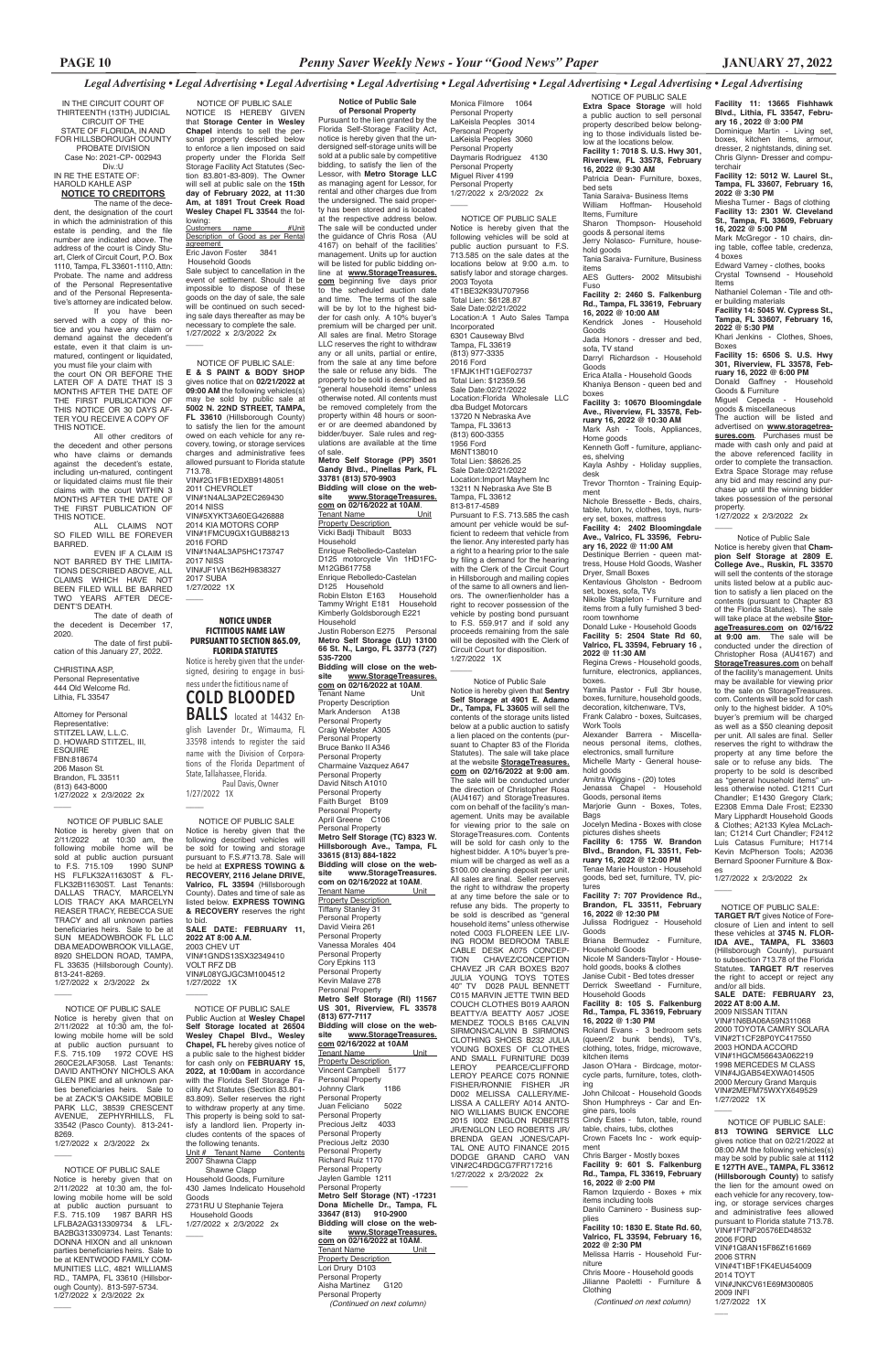**Facility 11: 13665 Fishhawk Blvd., Lithia, FL 33547, February 16 , 2022 @ 3:00 PM** Dominique Martin - Living set, boxes, kitchen items, armour, dresser, 2 nightstands, dining set. Chris Glynn- Dresser and computerchair **Facility 12: 5012 W. Laurel St., Tampa, FL 33607, February 16, 2022 @ 3:30 PM** Miesha Turner - Bags of clothing **Facility 13: 2301 W. Cleveland St., Tampa, FL 33609, February 16, 2022 @ 5:00 PM** Mark McGregor - 10 chairs, din-

ing table, coffee table, credenza, 4 boxes Edward Varney - clothes, books

Crystal Townsend - Household Items

Nathaniel Coleman - Tile and oth-

er building materials **Facility 14: 5045 W. Cypress St., Tampa, FL 33607, February 16, 2022 @ 5:30 PM**

Khari Jenkins - Clothes, Shoes, Boxes

**Facility 15: 6506 S. U.S. Hwy 301, Riverview, FL 33578, February 16, 2022 @ 6:00 PM**

Donald Gaffney - Household Goods & Furniture

Miguel Cepeda - Household goods & miscellaneous

The auction will be listed and advertised on **www.storagetreasures.com**. Purchases must be made with cash only and paid at the above referenced facility in order to complete the transaction. Extra Space Storage may refuse any bid and may rescind any purchase up until the winning bidder takes possession of the personal property.

items from a fully furnished 3 bedroom townhome<br>Donald Luke - Household Goods

1/27/2022 x 2/3/2022 2x

 $\overline{\phantom{a}}$ 

 NOTICE OF PUBLIC SALE **Extra Space Storage** will hold a public auction to sell personal property described below belonging to those individuals listed below at the locations below. **Facility 1: 7018 S. U.S. Hwy 301, Riverview, FL 33578, February 16, 2022 @ 9:30 AM** Patricia Dean- Furniture, boxes, bed sets Tania Saraiva- Business Items William Hoffman- Household Items, Furniture Sharon Thompson- Household goods & personal items Jerry Nolasco- Furniture, household goods Tania Saraiva- Furniture, Business items AES Gutters- 2002 Mitsubishi Fuso **Facility 2: 2460 S. Falkenburg Rd., Tampa, FL 33619, February 16, 2022 @ 10:00 AM** Kendrick Jones Goods Jada Honors - dresser and bed, sofa, TV stand Darryl Richardson - Household Goods Erica Atalla - Household Goods Khaniya Benson - queen bed and boxes **Facility 3: 10670 Bloomingdale Ave., Riverview, FL 33578, February 16, 2022 @ 10:30 AM** Mark Ash - Tools, Appliances, Home goods Kenneth Goff - furniture, appliances, shelving

Kayla Ashby - Holiday supplies, desk Trevor Thornton - Training Equip-

ment Nichole Bressette - Beds, chairs, table, futon, tv, clothes, toys, nurs-

ery set, boxes, mattress **Facility 4: 2402 Bloomingdale** 

**Ave., Valrico, FL 33596, February 16, 2022 @ 11:00 AM** Destinique Berrien - queen mat-

tress, House Hold Goods, Washer Dryer, Small Boxes Kentavious Gholston - Bedroom

set, boxes, sofa, TVs Nikolle Stapleton - Furniture and

Donald Luke - Household Goods **Facility 5: 2504 State Rd 60, Valrico, FL 33594, February 16 , 2022 @ 11:30 AM**

Regina Crews - Household goods, furniture, electronics, appliances, boxes. Yamila Pastor - Full 3br house,

boxes, furniture, household goods, decoration, kitchenware, TVs, Frank Calabro - boxes, Suitcases,

Work Tools Alexander Barrera - Miscellaneous personal items, clothes,

electronics, small furniture Michelle Marty - General household goods

Amitra Wiggins - (20) totes Jenassa Chapel - Household

Goods, personal items Marjorie Gunn - Boxes, Totes, Bags

Jocelyn Medina - Boxes with close

pictures dishes sheets **Facility 6: 1755 W. Brandon Blvd., Brandon, FL 33511, February 16, 2022 @ 12:00 PM**

Tenae Marie Houston - Household goods, bed set, furniture, TV, pictures

### $\overline{\phantom{a}}$ Notice of Public Sale

**Facility 7: 707 Providence Rd., Brandon, FL 33511, February 16, 2022 @ 12:30 PM** Julissa Rodriguez - Household

Goods Briana Bermudez - Furniture,

Household Goods Nicole M Sanders-Taylor - House-

hold goods, books & clothes Janise Cubit - Bed totes dresser Derrick Sweetland - Furniture, Household Goods

### **Rd., Tampa, FL 33619, February 16, 2022 @ 1:30 PM**

Roland Evans - 3 bedroom sets (queen/2 bunk bends), TV's, clothing, totes, fridge, microwave, kitchen items

Jason O'Hara - Birdcage, motorcycle parts, furniture, totes, clothing

John Chilcoat - Household Goods Shon Humphreys - Car and Engine pars, tools

Cindy Estes - futon, table, round table, chairs, tubs, clothes Crown Facets Inc - work equipment

Monica Filmore 1064 Personal Property LaKeisla Peoples 3014 Personal Property LaKeisla Peoples 3060 Personal Property Daymaris Rodriguez 4130 Personal Property Miguel River 4199 Personal Property 1/27/2022 x 2/3/2022 2x  $\overline{\phantom{a}}$ 

> Chris Barger - Mostly boxes **Facility 9: 601 S. Falkenburg Rd., Tampa, FL 33619, February 16, 2022 @ 2:00 PM** Ramon Izquierdo - Boxes + mix items including tools Danilo Caminero - Business supplies **Facility 10: 1830 E. State Rd. 60, Valrico, FL 33594, February 16, 2022 @ 2:30 PM** Melissa Harris - Household Furniture

Chris Moore - Household goods Jilianne Paoletti - Furniture & Clothing

*(Continued on next column)*

Notice of Public Sale

Notice is hereby given that **Champion Self Storage at 2809 E. College Ave., Ruskin, FL 33570** will sell the contents of the storage units listed below at a public auction to satisfy a lien placed on the contents (pursuant to Chapter 83 of the Florida Statutes). The sale will take place at the website **StorageTreasures.com on 02/16/22 at 9:00 am**. The sale will be conducted under the direction of Christopher Rosa (AU4167) and **StorageTreasures.com** on behalf of the facility's management. Units may be available for viewing prior to the sale on StorageTreasures. com. Contents will be sold for cash only to the highest bidder. A 10% buyer's premium will be charged as well as a \$50 cleaning deposit per unit. All sales are final. Seller reserves the right to withdraw the property at any time before the sale or to refuse any bids. The property to be sold is described as "general household items" unless otherwise noted. C1211 Curt Chandler; E1430 Gregory Clark; E2308 Emma Dale Frost; E2330 Mary Lipphardt Household Goods & Clothes; A2133 Kylea McLachlan; C1214 Curt Chandler; F2412 Luis Catasus Furniture; H1714 Kevin McPherson Tools; A2036 Bernard Spooner Furniture & Box-

**Bidding will close on the web-**<br>site www.StorageTreasures **site www.StorageTreasures. com 02/16/2022 at 10AM**

es

 $\overline{\phantom{a}}$ 

1/27/2022 x 2/3/2022 2x

Tenant Name Unit **Property Description** Vincent Campbell 5177 Personal Property<br>Johnny Clark 1186 Johnny Clark Personal Property Juan Feliciano 5022 Personal Property Precious Jeltz 4033 Personal Property Precious Jeltz 2030 Personal Property Richard Ruiz 1170 Personal Property Jaylen Gamble 1211 Personal Property **Metro Self Storage (NT) -17231 Dona Michelle Dr., Tampa, FL 33647 (813) 910-2900 Bidding will close on the website www.StorageTreasures. com** on 02/16/2022 at 10AM.<br> **Tenant Name** Unit Tenant Name Property Description Lori Drury D103

 $\overline{\phantom{a}}$ 

 NOTICE OF PUBLIC SALE NOTICE IS HEREBY GIVEN that **Storage Center in Wesley Chapel** intends to sell the personal property described below to enforce a lien imposed on said property under the Florida Self Storage Facility Act Statutes (Section 83.801-83-809). The Owner will sell at public sale on the **15th day of February 2022, at 11:30 Am, at 1891 Trout Creek Road Wesley Chapel FL 33544** the following:<br>Customers

 NOTICE OF PUBLIC SALE Notice is hereby given that the following vehicles will be sold at public auction pursuant to F.S. 713.585 on the sale dates at the locations below at 9:00 a.m. to satisfy labor and storage charges. 2003 Toyota 4T1BE32K93U707956 Total Lien: \$6128.87 Sale Date:02/21/2022 Location:A 1 Auto Sales Tampa Incorporated 6301 Causeway Blvd Tampa, FL 33619 (813) 977-3335 2016 Ford 1FMJK1HT1GEF02737 Total Lien: \$12359.56 Sale Date:02/21/2022 Location:Florida Wholesale LLC dba Budget Motorcars 13720 N Nebraska Ave Tampa, FL 33613 (813) 600-3355 1956 Ford M6NT138010 Total Lien: \$8626.25 Sale Date:02/21/2022 Location:Import Mayhem Inc 13211 N Nebraska Ave Ste B Tampa, FL 33612 813-817-4589 Pursuant to F.S. 713.585 the cash amount per vehicle would be sufficient to redeem that vehicle from the lienor. Any interested party has a right to a hearing prior to the sale by filing a demand for the hearing with the Clerk of the Circuit Court in Hillsborough and mailing copies of the same to all owners and lienors. The owner/lienholder has a right to recover possession of the vehicle by posting bond pursuant

 NOTICE OF PUBLIC SALE: **E & S PAINT & BODY SHOP** gives notice that on **02/21/2022 at 09:00 AM** the following vehicles(s) may be sold by public sale at **5002 N. 22ND STREET, TAMPA, FL 33610** (Hillsborough County) to satisfy the lien for the amount owed on each vehicle for any recovery, towing, or storage services charges and administrative fees allowed pursuant to Florida statute 713.78. VIN#2G1FB1EDXB9148051 2011 CHEVROLET VIN#1N4AL3AP2EC269430 2014 NISS VIN#5XYKT3A60EG426888 2014 KIA MOTORS CORP VIN#1FMCU9GX1GUB88213 2016 FORD VIN#1N4AL3AP5HC173747 2017 NISS VIN#JF1VA1B62H9838327 2017 SUBA 1/27/2022 1X  $\overline{\phantom{a}}$ 

> to F.S. 559.917 and if sold any proceeds remaining from the sale will be deposited with the Clerk of Circuit Court for disposition.

1/27/2022 1X

The date of first publication of this January 27, 2022.

> Notice is hereby given that **Sentry Self Storage at 4901 E. Adamo Dr., Tampa, FL 33605** will sell the contents of the storage units listed below at a public auction to satisfy a lien placed on the contents (pursuant to Chapter 83 of the Florida Statutes). The sale will take place at the website **StorageTreasures. com on 02/16/2022 at 9:00 am**. The sale will be conducted under the direction of Christopher Rosa (AU4167) and StorageTreasures. com on behalf of the facility's management. Units may be available for viewing prior to the sale on StorageTreasures.com. Contents will be sold for cash only to the highest bidder. A 10% buyer's premium will be charged as well as a \$100.00 cleaning deposit per unit. All sales are final. Seller reserves the right to withdraw the property at any time before the sale or to refuse any bids. The property to be sold is described as "general household items" unless otherwise noted C003 FLOREEN LEE LIV-ING ROOM BEDROOM TABLE CABLE DESK A075 CONCEP-TION CHAVEZ/CONCEPTION CHAVEZ JR CAR BOXES B207 JULIA YOUNG TOYS TOTES 40" TV D028 PAUL BENNETT C015 MARVIN JETTE TWIN BED COUCH CLOTHES B019 AARON BEATTY/A BEATTY A057 JOSE MENDEZ TOOLS B165 CALVIN SIRMONS/CALVIN B SIRMONS CLOTHING SHOES B232 JULIA YOUNG BOXES OF CLOTHES AND SMALL FURNITURE D039 LEROY PEARCE/CLIFFORD LEROY PEARCE C075 RONNIE FISHER/RONNIE FISHER JR D002 MELISSA CALLERY/ME-LISSA A CALLERY A014 ANTO-NIO WILLIAMS BUICK ENCORE 2015 I002 ENGLON ROBERTS JR/ENGLON LEO ROBERTS JR/ BRENDA GEAN JONES/CAPI-TAL ONE AUTO FINANCE 2015 DODGE GRAND CARO VAN VIN#2C4RDGCG7FR717216 1/27/2022 x 2/3/2022 2x

### **Notice of Public Sale**

Notice is hereby given that the following described vehicles will be sold for towing and storage pursuant to F.S.#713.78. Sale will be held at **EXPRESS TOWING & RECOVERY, 2116 Jelane DRIVE, Valrico, FL 33594** (Hillsborough County). Dates and time of sale as listed below. **EXPRESS TOWING & RECOVERY** reserves the right to bid. **SALE DATE: FEBRUARY 11, 2022 AT 8:00 A.M.** 2003 CHEV UT VIN#1GNDS13SX32349410 VOLT RFZ DB VIN#L08YGJGC3M1004512 1/27/2022 1X  $\overline{\phantom{a}}$ 

**of Personal Property** Pursuant to the lien granted by the Florida Self-Storage Facility Act, notice is hereby given that the undersigned self-storage units will be sold at a public sale by competitive bidding, to satisfy the lien of the Lessor, with **Metro Storage LLC**  as managing agent for Lessor, for rental and other charges due from the undersigned. The said property has been stored and is located at the respective address below. The sale will be conducted under the guidance of Chris Rosa (AU 4167) on behalf of the facilities' management. Units up for auction will be listed for public bidding online at **www.StorageTreasures. com** beginning five days prior to the scheduled auction date and time. The terms of the sale will be by lot to the highest bidder for cash only. A 10% buyer's premium will be charged per unit. All sales are final. Metro Storage LLC reserves the right to withdraw any or all units, partial or entire, from the sale at any time before the sale or refuse any bids. The property to be sold is described as "general household items" unless otherwise noted. All contents must be removed completely from the property within 48 hours or sooner or are deemed abandoned by bidder/buyer. Sale rules and regulations are available at the time of sale.

> **Facility 8: 105 S. Falkenburg 2022 AT 8:00 A.M.** 2009 NISSAN TITAN VIN#1N6BA06A59N311068 VIN#2T1CF28P0YC417550 2003 HONDA ACCORD VIN#1HGCM56643A062219 1998 MERCEDES M CLASS VIN#4JGAB54EXWA014505 2000 Mercury Grand Marquis VIN#2MEFM75WXYX649529 1/27/2022 1X

> > $\overline{\phantom{a}}$

**Metro Self Storage (PP) 3501 Gandy Blvd., Pinellas Park, FL 33781 (813) 570-9903 Bidding will close on the web-<br>site www.StorageTreasures. site www.StorageTreasures. <u>com</u>** on 02/16/2022 at 10AM.<br>Tenant Name Unit Tenant Name Property Description Vicki Badji Thibault B033 Household Enrique Rebolledo-Castelan D125 motorcycle Vin 1HD1FC-M12GB617758 Enrique Rebolledo-Castelan D125 Household Robin Elston E163 Household Tammy Wright E181 Household Kimberly Goldsborough E221 Household Justin Roberson E275 Personal **Metro Self Storage (LU) 13100 66 St. N., Largo, FL 33773 (727) 535-7200 Bidding will close on the website www.StorageTreasures. com on 02/16/2022 at 10AM**.<br>Tenant Name Unit Tenant Name Property Description Mark Anderson A138 Personal Property Craig Webster A305 Personal Property Bruce Banko II A346 Personal Property Charmaine Vazquez A647 Personal Property David Nitsch A1010 Personal Property Faith Burget B109 Personal Property April Greene C106 Personal Property **Metro Self Storage (TC) 8323 W. Hillsborough Ave., Tampa, FL 33615 (813) 884-1822 Bidding will close on the web-**<br>site www.StorageTreasures. **site www.StorageTreasures. com on 02/16/2022 at 10AM**. Tenant Name Unit Property Description Tiffany Stanley 31 Personal Property David Vieira 261 Personal Property Vanessa Morales 404 Personal Property Cory Epkins 113 Personal Property Kevin Malave 278

Personal Property

**Metro Self Storage (RI) 11567** 

**US 301, Riverview, FL 33578 (813) 677-7117**

Personal Property Aisha Martinez G120 Personal Property *(Continued on next column)*

Customers name #Unit Description of Good as per Rental <u>agreement</u><br>Eric Javon Foster 3841 Household Goods Sale subject to cancellation in the event of settlement. Should it be impossible to dispose of these

goods on the day of sale, the sale will be continued on such seceding sale days thereafter as may be necessary to complete the sale. 1/27/2022 x 2/3/2022 2x

 $\overline{\phantom{a}}$ 

IN THE CIRCUIT COURT OF THIRTEENTH (13TH) JUDICIAL CIRCUIT OF THE STATE OF FLORIDA, IN AND FOR HILLSBOROUGH COUNTY PROBATE DIVISION Case No: 2021-CP- 002943

Div.:U IN RE THE ESTATE OF: HAROLD KAHLE ASP **NOTICE TO CREDITORS**

The name of the decedent, the designation of the court in which the administration of this estate is pending, and the file number are indicated above. The address of the court is Cindy Stuart, Clerk of Circuit Court, P.O. Box 1110, Tampa, FL 33601-1110, Attn: Probate. The name and address of the Personal Representative and of the Personal Representative's attorney are indicated below.

If you have been served with a copy of this notice and you have any claim or demand against the decedent's estate, even it that claim is unmatured, contingent or liquidated, you must file your claim with the court ON OR BEFORE THE LATER OF A DATE THAT IS 3 MONTHS AFTER THE DATE OF THE FIRST PUBLICATION OF THIS NOTICE OR 30 DAYS AF-TER YOU RECEIVE A COPY OF THIS NOTICE.

All other creditors of the decedent and other persons who have claims or demands against the decedent's estate, including un-matured, contingent or liquidated claims must file their claims with the court WITHIN 3 MONTHS AFTER THE DATE OF **THE FIRST PUBLICATION OF** THIS NOTICE.

ALL CLAIMS NOT SO FILED WILL BE FOREVER BARRED.

EVEN IF A CLAIM IS NOT BARRED BY THE LIMITA-TIONS DESCRIBED ABOVE, ALL CLAIMS WHICH HAVE NOT BEEN FILED WILL BE BARRED TWO YEARS AFTER DECE-DENT'S DEATH.

The date of death of the decedent is December 17, 2020.

CHRISTINA ASP, Personal Representative 444 Old Welcome Rd. Lithia, FL 33547

Attorney for Personal Representative: STITZEL LAW, L.L.C. D. HOWARD STITZEL, III, ESQUIRE FBN:818674 206 Mason St. Brandon, FL 33511 (813) 643-8000 1/27/2022 x 2/3/2022 2x

 $\overline{\phantom{a}}$ 

 $\overline{\phantom{a}}$ 

 $\overline{\phantom{a}}$ 

 $\overline{\phantom{a}}$ 

 NOTICE OF PUBLIC SALE Notice is hereby given that on 2/11/2022 at 10:30 am, the following mobile home will be sold at public auction pursuant to F.S. 715.109 1990 SUNP HS FLFLK32A11630ST & FL-FLK32B11630ST. Last Tenants: DALLAS TRACY, MARCELYN LOIS TRACY AKA MARCELYN REASER TRACY, REBECCA SUE TRACY and all unknown parties beneficiaries heirs. Sale to be at SUN MEADOWBROOK FL LLC DBA MEADOWBROOK VILLAGE, 8920 SHELDON ROAD, TAMPA FL 33635 (Hillsborough County). 813-241-8269. 1/27/2022 x 2/3/2022 2x

 NOTICE OF PUBLIC SALE Notice is hereby given that on 2/11/2022 at 10:30 am, the following mobile home will be sold at public auction pursuant to F.S. 715.109 1972 COVE HS 260CE2LAF3058. Last Tenants: DAVID ANTHONY NICHOLS AKA GLEN PIKE and all unknown parties beneficiaries heirs. Sale to be at ZACK'S OAKSIDE MOBILE PARK LLC, 38539 CRESCENT<br>AVENUE, ZEPHYRHILLS, FL AVENUE, ZEPHYRHILLS, 33542 (Pasco County). 813-241- 8269.

1/27/2022 x 2/3/2022 2x

 NOTICE OF PUBLIC SALE Notice is hereby given that on 2/11/2022 at 10:30 am, the following mobile home will be sold at public auction pursuant to F.S. 715.109 1987 BARR HS LFLBA2AG313309734 & LFL-BA2BG313309734. Last Tenants: DONNA HIXON and all unknown parties beneficiaries heirs. Sale to be at KENTWOOD FAMILY COM-MUNITIES LLC, 4821 WILLIAMS RD., TAMPA, FL 33610 (Hillsborough County). 813-597-5734. 1/27/2022 x 2/3/2022 2x

**NOTICE OF PUBLIC SAL** Public Auction at **Wesley Chapel Self Storage located at 26504 Wesley Chapel Blvd., Wesley Chapel, FL** hereby gives notice of a public sale to the highest bidder for cash only on **FEBRUARY 15, 2022, at 10:00am** in accordance with the Florida Self Storage Facility Act Statutes (Section 83.801- 83.809). Seller reserves the right to withdraw property at any time. This property is being sold to satisfy a landlord lien. Property includes contents of the spaces of the following tenants. Unit # Tenant Name Contents 2007 Shawna Clapp Shawne Clapp Household Goods, Furniture 430 James Indelicato Household Goods 2731RU U Stephanie Tejera Household Goods 1/27/2022 x 2/3/2022 2x  $\overline{\phantom{a}}$ 

### **NOTICE UNDER FICTITIOUS NAME LAW PURSUANT TO SECTION 865.09, FLORIDA STATUTES** Notice is hereby given that the under-

signed, desiring to engage in business under the fictitious name of

# **COLD BLOODED BALLS** located at 14432 En-

glish Lavender Dr., Wimauma, FL 33598 intends to register the said name with the Division of Corporations of the Florida Department of State, Tallahassee, Florida. Paul Davis, Owner

> NOTICE OF PUBLIC SALE: **TARGET R/T** gives Notice of Foreclosure of Lien and intent to sell these vehicles at **3745 N. FLOR-IDA AVE., TAMPA, FL 33603**  (Hillsborough County), pursuant to subsection 713.78 of the Florida Statutes. **TARGET R/T** reserves the right to accept or reject any and/or all bids.

> **SALE DATE: FEBRUARY 23,**  2000 TOYOTA CAMRY SOLARA

1/27/2022 1X \_\_\_\_ NOTICE OF PUBLIC SALE

 NOTICE OF PUBLIC SALE: **813 TOWING SERVICE LLC** gives notice that on 02/21/2022 at 08:00 AM the following vehicles(s) may be sold by public sale at **1112 E 127TH AVE., TAMPA, FL 33612 (Hillsborough County)** to satisfy the lien for the amount owed on each vehicle for any recovery, towing, or storage services charges and administrative fees allowed pursuant to Florida statute 713.78. VIN#1FTNF20576ED48532 2006 FORD VIN#1G8AN15F86Z161669 2006 STRN VIN#4T1BF1FK4EU454009 2014 TOYT VIN#JNKCV61E69M300805 2009 INFI 1/27/2022 1X

 $\overline{\phantom{a}}$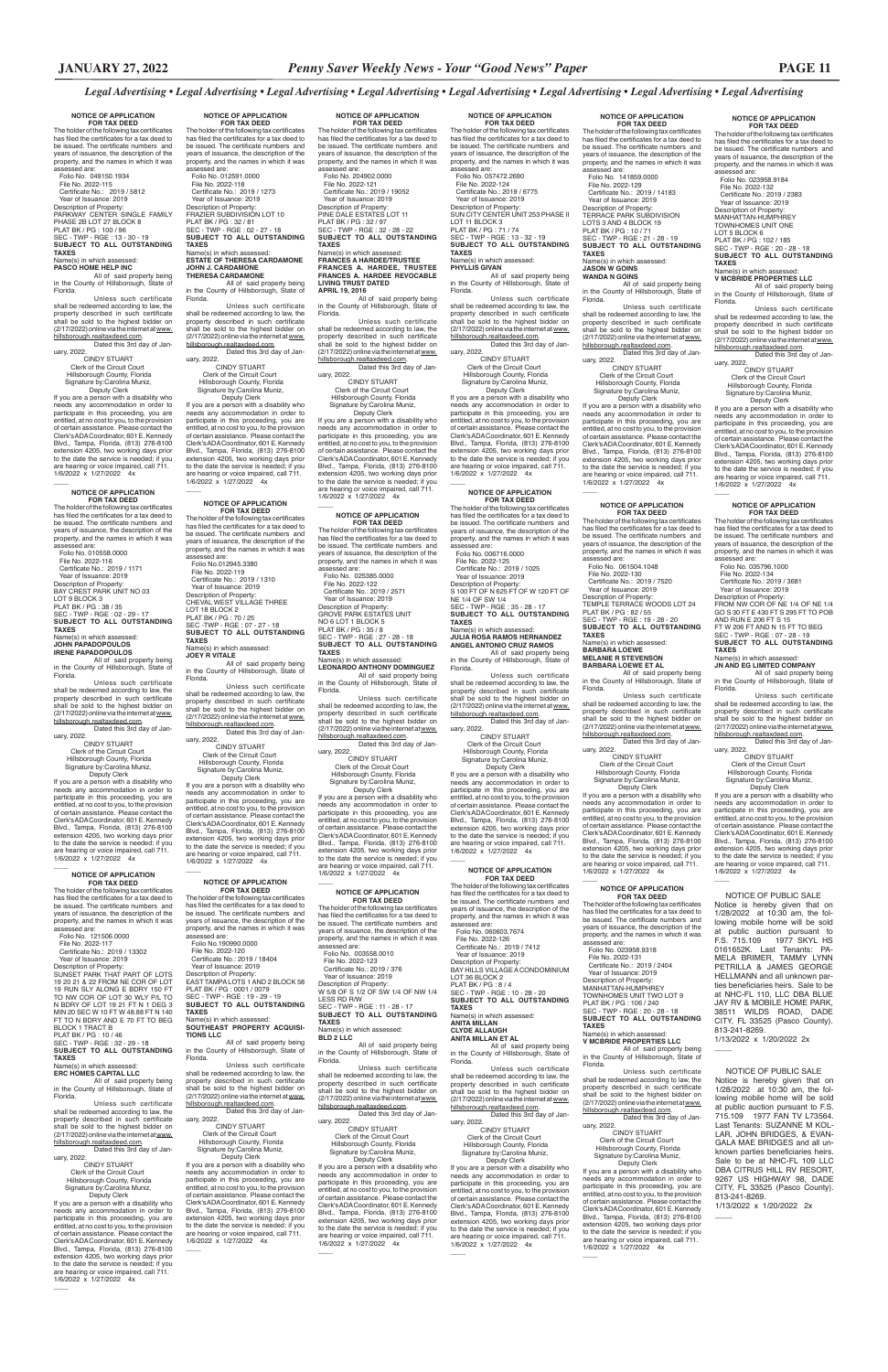**NOTICE OF APPLICATION FOR TAX DEED**

r of the following tax ce has filed the certificates for a tax deed to be issued. The certificate numbers and years of issuance, the description of the property, and the names in which it was assessed are: Folio No. 049150.1934

 File No. 2022-115 Certificate No.: 2019 / 5812 Year of Issuance: 2019 Description of Property: PARKWAY CENTER SINGLE FAMILY PHASE 2B LOT 27 BLOCK 8 PLAT BK / PG : 100 / 96 SEC - TWP - RGE : 13 - 30 - 19 **SUBJECT TO ALL OUTSTANDING TAXES**

#### Name(s) in which assessed: **PASCO HOME HELP INC**

All of said property being in the County of Hillsborough, State of

**FOR TAX DEED**<br>The holder of the following tax certificates<br>has filed the certificates for a tax deed to be issued. The certificate numbers and years of issuance, the description of the property, and the names in which it was assessed are:

Florida. Unless such certificate shall be redeemed according to law, the property described in such certificate shall be sold to the highest bidder on (2/17/2022) online via the internet at www. hillsborough.realtaxdeed.com. Dated this 3rd day of January, 2022.

 CINDY STUART Clerk of the Circuit Court Hillsborough County, Florida Signature by:Carolina Muniz, Deputy Clerk

If you are a person with a disability who needs any accommodation in order to participate in this proceeding, you are entitled, at no cost to you, to the provision of certain assistance. Please contact the Clerk's ADA Coordinator, 601 E. Kennedy Blvd., Tampa, Florida, (813) 276-8100 extension 4205, two working days prior to the date the service is needed; if you are hearing or voice impaired, call 711. 1/6/2022 x 1/27/2022 4x

# **NOTICE OF APPLICATION**

 $\overline{\phantom{a}}$ 

 File No. 2022-117 Certificate No.: 2019 / 13302 Year of Issuance: 2019 Description of Property:<br>SUNSET PARK THAT PART OF LOTS

 Folio No. 010558.0000 File No. 2022-116 Certificate No.: 2019 / 1171 Year of Issuance: 2019 Description of Property: BAY CREST PARK UNIT NO 03 LOT 9 BLOCK 3<br>PLAT BK / PG : 38 / 35<br>SEC - TWP - RGE : 02 - 29 - 17<br>**SUBJECT TO ALL OUTSTANDING TAXES**

# Name(s) in which assessed:<br>**JOHN PAPADOPOULOS<br>IRENE PAPADOPOULOS**<br>All of said property being

hillsborough.realtaxdeed.com. Dated this 3rd day of January, 2022.<br>CINDY STUART

in the County of Hillsborough, State of Florida.

Unless such certificate shall be redeemed according to law, the property described in such certificate shall be sold to the highest bidder on (2/17/2022) online via the internet at www. hillsborough.realtaxdeed.com. Dated this 3rd day of Jan-

uary, 2022. CINDY STUART Clerk of the Circuit Court

 Hillsborough County, Florida Signature by:Carolina Muniz, Deputy Clerk If you are a person with a disability who

Unless such certificate shall be redeemed according to law, the property described in such certificate<br>shall be sold to the highest bidder on<br>(2/17/2022)onlineviatheinternetatwww. hillsborough.realtaxdeed.com. Dated this 3rd day of Jan-

 Deputy Clerk If you are a person with a disability who needs any accommodation in order to participate in this proceeding, you are entitled, at no cost to you, to the provision<br>of certain assistance. Please contact the of certain assistance. Please contact the Clerk's ADA Coordinator, 601 E. Kennedy Blvd., Tampa, Florida, (813) 276-8100 extension 4205, two working days prior to the date the service is needed; if you are hearing or voice impaired, call 711. 1/6/2022 x 1/27/2022 4x  $\overline{\phantom{a}}$ 

needs any accommodation in order to participate in this proceeding, you are entitled, at no cost to you, to the provision of certain assistance. Please contact the Clerk's ADA Coordinator, 601 E. Kennedy Blvd., Tampa, Florida, (813) 276-8100 extension 4205, two working days prior to the date the service is needed; if you are hearing or voice impaired, call 711. 1/6/2022 x 1/27/2022 4x

### **NOTICE OF APPLICATION FOR TAX DEED**<br>The holder of the following tax certificates has filed the certificates for a tax deed to be issued. The certificate numbers and years of issuance, the description of the property, and the names in which it was assessed are:<br>Folio No 012945 3380

#### **NOTICE OF APPLICATION FOR TAX DEED**

The holder of the following tax certificates has filed the certificates for a tax deed to be issued. The certificate numbers and years of issuance, the description of the property, and the names in which it was assessed are: Folio No. 121506.0000

 $\overline{\phantom{a}}$ 

SUNSET PARK THAT PART OF LOTS 19 20 21 & 22 FROM NE COR OF LOT 19 RUN SLY ALONG E BDRY 150 FT TO NW COR OF LOT 30 WLY P/L TO

### N BDRY OF LOT 19 21 FT N 1 DEG 3 MIN 20 SEC W 10 FT W 48.88 FT N 140 FT TO N BDRY AND E 70 FT TO BEG BLOCK 1 TRACT B PLAT BK / PG : 10 / 46 SEC - TWP - RGE : 32 - 29 - 18 **SUBJECT TO ALL OUTSTANDING TAXES**

# Name(s) in which assessed: **ERC HOMES CAPITAL LLC**

All of said property being in the County of Hillsborough, State of Florida.

**FOR TAX DEED**<br>The holder of the following tax certificates<br>has filed the certificates for a tax deed to be issued. The certificate numbers and years of issuance, the description of the property, and the names in which it was assessed are: Folio No.190990.0000 File No. 2022-120 Certificate No.: 2019 / 18404 Year of Issuance: 2019 Description of Property: EAST TAMPA LOTS 1 AND 2 BLOCK 58 PLAT BK / PG : 0001 / 0079

Unless such certificate shall be redeemed according to law, the property described in such certificate shall be sold to the highest bidder on (2/17/2022) online via the internet at www.

# CINDY STUART Clerk of the Circuit Court Hillsborough County, Florida Signature by:Carolina Muniz,

Dated this 3rd day of January, 2022.

 Deputy Clerk If you are a person with a disability who needs any accommodation in order to participate in this proceeding, you are entitled, at no cost to you, to the provision of certain assistance. Please contact the Clerk's ADA Coordinator, 601 E. Kennedy Blvd., Tampa, Florida, (813) 276-8100 extension 4205, two working days prior to the date the service is needed; if you are hearing or voice impaired, call 711. 1/6/2022 x 1/27/2022 4x

 $\overline{\phantom{a}}$ 

The following tax certificates has filed the certificates for a tax deed to be issued. The certificate numbers and years of issuance, the description of the property, and the names in which it was assessed are: Folio No. 204902.0000

**NOTICE OF APPLICATION FOR TAX DEED**

The holder of the following tax certificates has filed the certificates for a tax deed to be issued. The certificate numbers and years of issuance, the description of the property, and the names in which it was assessed are: Folio No. 012591.0000

> (2/17/2022) online via the internet at www. hillsborough.realtaxdeed.com. Dated this 3rd day of Jan-

uary, 2022.<br>CINDY STUART

 File No. 2022-118 Certificate No.: 2019 / 1273 Year of Issuance: 2019 Description of Property:<br>FRAZIER SUBDIVISION LOT 10<br>PLAT BK / PG : 32 / 81<br>SEC - TWP - RGE : 02 - 27 - 18<br>**SUBJECT TO ALL OUTSTANDING TAXES** Name(s) in which assessed:

**ESTATE OF THERESA CARDAMONE JOHN J. CARDAMONE THERESA CARDAMONE**

All of said property being in the County of Hillsborough, State of Florida.

uary, 2022. CINDY STUART Clerk of the Circuit Court Hillsborough County, Florida Signature by:Carolina Muniz,

> **FOR TAX DEED**<br>The holder of the following tax certificates<br>has filed the certificates for a tax deed to be issued. The certificate numbers and years of issuance, the description of the property, and the names in which it was assessed are: Folio No. 003558.0010 File No. 2022-123 Certificate No.: 2019 / 376 Year of Issuance: 2019

> Description of Property: W 5/8 OF S 1/2 OF SW 1/4 OF NW 1/4 LESS RD R/W  $TWP - RGF \cdot 11 - 28 - 17$

Unless such certificate shall be redeemed according to law, the property described in such certificate shall be sold to the highest bidder on<br>(2/17/2022) online via the internet at <u>www.</u><br><u>hillsborough.realtaxdeed.com</u>.

Dated this 3rd day of January, 2022.<br>CINDY STUART

 Folio No.012945.3380 File No. 2022-119 Certificate No.: 2019 / 1310 Year of Issuance: 2019 Description of Property: CHEVAL WEST VILLAGE THREE LOT 18 BLOCK 2 PLAT BK / PG : 70 / 25 SEC -TWP - RGE : 07 - 27 - 18 **SUBJECT TO ALL OUTSTANDING TAXES**

### **NOTICE OF APPLICATION FOR TAX DEED** r of the following tax ce has filed the certificates for a tax deed to<br>be issued. The certificate numbers and

Name(s) in which assessed: **JOEY R VITALE** All of said property being

in the County of Hillsborough, State of Florida. Unless such certificate

shall be redeemed according to law, the property described in such certificate shall be sold to the highest bidder on (2/17/2022) online via the internet at www. hillsborough.realtaxdeed.com.

Dated this 3rd day of January, 2022. CINDY STUART Clerk of the Circuit Court Hillsborough County, Florida Signature by:Carolina Muniz,

 Deputy Clerk If you are a person with a disability who

needs any accommodation in order to participate in this proceeding, you are entitled, at no cost to you, to the provision of certain assistance. Please contact the Clerk's ADA Coordinator, 601 E. Kennedy Blvd., Tampa, Florida, (813) 276-8100 extension 4205, two working days prior to the date the service is needed; if you are hearing or voice impaired, call 711. 1/6/2022 x 1/27/2022 4x **FOR TAX DEED**<br>The holder of the following tax certificates<br>has filed the certificates for a tax deed to be issued. The certificate numbers and years of issuance, the description of the property, and the names in which it was assessed are:

# **NOTICE OF APPLICATION**

 $\overline{\phantom{a}}$ 

SEC - TWP - RGE : 19 - 29 - 19 **SUBJECT TO ALL OUTSTANDING** 

#### **TAXES** Name(s) in which assessed: **SOUTHEAST PROPERTY ACQUISI-TIONS LLC**

All of said property being in the County of Hillsborough, State of Florida.

 Certificate No.: 2019 / 7412 Year of Issuance: 2019 Description of Property: BAY HILLS VILLAGE A CONDOMINIUM LOT 36 BLOCK 2 PLAT BK / PG : 8 / 4 SEC - TWP - RGE : 10 - 28 - 20 **SUBJECT TO ALL OUTSTANDING**  assessed are: Folio No. 023958.9318 File No. 2022-131 Certificate No.: 2019 / 2404 Year of Issuance: 2019 Description of Property: MANHATTAN-HUMPHREY<br>TOWNHOMES UNIT TWO LOT 9

Unless such certificate shall be redeemed according to law, the property described in such certificate shall be sold to the highest bidder on (2/17/2022) online via the internet at www. hillsborough.realtaxdeed.com.

### CINDY STUART Clerk of the Circuit Court Hillsborough County, Florida Signature by:Carolina Muniz, Deputy Clerk

Dated this 3rd day of January, 2022.

 CINDY STUART Clerk of the Circuit Court Hillsborough County, Florida Signature by:Carolina Muniz, Deputy Clerk

If you are a person with a disability who needs any accommodation in order to participate in this proceeding, you are entitled, at no cost to you, to the provision of certain assistance. Please contact the Clerk's ADA Coordinator, 601 E. Kennedy Blvd., Tampa, Florida, (813) 276-8100 extension 4205, two working days prior to the date the service is needed; if you are hearing or voice impaired, call 711. 1/6/2022 x 1/27/2022 4x

 $\overline{\phantom{a}}$ 

**NOTICE OF APPLICATION FOR TAX DEED**

The holder of the following tax certificates<br>has filed the certificates for a tax deed to has filed the certificates for a tax deed to be issued. The certificate numbers and years of issuance, the description of the property, and the names in which it was assessed are: Folio No. 141859.0000 File No. 2022-129 Certificate No.: 2019 / 14183 Year of Issuance: 2019 Description of Property: TERRACE PARK SUBDIVISION LOTS 3 AND 4 BLOCK 19 PLAT BK / PG : 10 / 71 SEC - TWP - RGE : 21 - 28 - 19 **SUBJECT TO ALL OUTSTANDING TAXES**

 $Name(s)$  in which asset **JASON W GOINS WANDA N GOINS**

---<br>CINDY STUART Clerk of the Circuit Court Hillsborough County, Florida Signature by:Carolina Muniz,

 Deputy Clerk If you are a person with a disability who needs any accommodation in order to participate in this proceeding, you are entitled, at no cost to you, to the provision of certain assistance. Please contact the Clerk's ADA Coordinator, 601 E. Kennedy Blvd., Tampa, Florida, (813) 276-8100 extension 4205, two working days prior to the date the service is needed; if you are hearing or voice impaired, call 711. 1/6/2022 x 1/27/2022 4x  $\overline{\phantom{a}}$ 

 File No. 2022-121 Certificate No.: 2019 / 19052 Year of Issuance: 2019 Description of Property:<br>PINE DALE ESTATES LOT 11<br>PLAT BK / PG : 32 / 97<br>SEC - TWP - RGE : 32 - 28 - 22<br>**SUBJECT TO ALL OUTSTANDING TAXES** Name(s) in which assessed: **FRANCES A HARDEE/TRUSTEE**

**FRANCES A. HARDEE, TRUSTEE FRANCES A. HARDEE REVOCABLE LIVING TRUST DATED**

**APRIL 19, 2016** All of said property being in the County of Hillsborough, State of Florida.

Unless such certificate shall be redeemed according to law, the property described in such certificate shall be sold to the highest bidder on

> **FOR TAX DEED**<br>The holder of the following tax certificates<br>has filed the certificates for a tax deed to be issued. The certificate numbers and years of issuance, the description of the property, and the names in which it was assessed are: Folio No. 061504.1048 File No. 2022-130 Certificate No.: 2019 / 7520 Year of Issuance: 2019 Description of Property: TEMPLE TERRACE WOODS LOT 24 PLAT BK / PG : 82 / 55 SEC - TWP - RGE : 19 - 28 - 20 **SUBJECT TO ALL OUTSTANDING TAXES** Name(s) in which assessed: **BARBARA LOEWE MELANIE R STEVENSON BARBARA LOEWE ET AL**

> property described in such certificate<br>shall be sold to the highest bidder on<br>(2/17/2022)onlineviatheinternetat<u>www.</u> hillsborough.realtaxdeed.com.

CINDY STUART Clerk of the Circuit Court Hillsborough County, Florida

 Signature by:Carolina Muniz, Deputy Clerk If you are a person with a disability who needs any accommodation in order to participate in this proceeding, you are entitled, at no cost to you, to the provision of certain assistance. Please contact the Clerk's ADA Coordinator, 601 E. Kennedy Blvd., Tampa, Florida, (813) 276-8100 extension 4205, two working days prior to the date the service is needed; if you are hearing or voice impaired, call 711. 1/6/2022 x 1/27/2022 4x

#### **NOTICE OF APPLICATION FOR TAX DEED**

 $\overline{\phantom{a}}$ 

The holder of the following tax certificates has filed the certificates for a tax deed to be issued. The certificate numbers and years of issuance, the description of the property, and the names in which it was assessed are: Folio No. 025385.0000

 File No. 2022-122 Certificate No.: 2019 / 2571 Year of Issuance: 2019 Description of Property: GROVE PARK ESTATES UNIT NO 6 LOT 1 BLOCK 5 PLAT BK / PG : 35 / 8 SEC - TWP - RGE : 27 - 28 - 18 **SUBJECT TO ALL OUTSTANDING TAXES**

Name(s) in which assessed: **LEONARDO ANTHONY DOMINGUEZ**

All of said property being in the County of Hillsborough, State of Florida.

Unless such certificate shall be redeemed according to law, the property described in such certificate

shall be sold to the highest bidder on<br>(2/17/2022) online via the internet at <u>www.</u><br>hillsborough.realtaxdeed.com.<br>Dated this 3rd day of Jan-

uary, 2022.<br>CINDY STUART

**TAXES**<br>Name(s) in which assessed Name(s) in which assessed: **V MCBRIDE PROPERTIES LLC**

 CINDY STUART Clerk of the Circuit Court Hillsborough County, Florida Signature by:Carolina Muniz,

 Deputy Clerk If you are a person with a disability who

**NOTICE OF APPLICATION FOR TAX DEED**<br>The holder of the following tax certificates<br>has filed the certificates for a tax deed to

needs any accommodation in order to participate in this proceeding, you are entitled, at no cost to you, to the provision of certain assistance. Please contact the Clerk's ADA Coordinator, 601 E. Kennedy Blvd., Tampa, Florida, (813) 276-8100 extension 4205, two working days prior to the date the service is needed; if you are hearing or voice impaired, call 711. 1/6/2022 x 1/27/2022 4x

# **NOTICE OF APPLICATION**

 $\overline{\phantom{a}}$ 

Name(s) in which assessed **JN AND EG LIMITED COMPANY** All of said property being in the County of Hillsborough, State of

**SUBJECT TO ALL OUTSTANDING TAXES**

Name(s) in which assessed:<br>**BLD 2 LLC** 

**BLD 2 LLC** All of said property being in the County of Hillsborough, State of Florida.

CINDY STUART Clerk of the Circuit Court Hillsborough County, Florida

 Signature by:Carolina Muniz, Deputy Clerk If you are a person with a disability who needs any accommodation in order to participate in this proceeding, you are entitled, at no cost to you, to the provision of certain assistance. Please contact the Clerk's ADA Coordinator, 601 E. Kennedy Blvd., Tampa, Florida, (813) 276-8100 extension 4205, two working days prior to the date the service is needed; if you are hearing or voice impaired, call 711. 1/6/2022 x 1/27/2022 4x

 $\overline{\phantom{a}}$ 

be issued. The certificate numbers and years of issuance, the description of the property, and the names in which it was assessed are: Folio No. 057472.2690 File No. 2022-124 Certificate No.: 2019 / 6775 Year of Issuance: 2019 Description of Property: SUN CITY CENTER UNIT 253 PHASE II LOT 11 BLOCK 3 PLAT BK / PG : 71 / 74 SEC - TWP - RGE : 13 - 32 - 19 **SUBJECT TO ALL OUTSTANDING TAXES**

Name(s) in which assessed:

**PHYLLIS GIVAN** All of said property being in the County of Hillsborough, State of Florida. Unless such certificate shall be redeemed according to law, the property described in such certificate shall be sold to the highest bidder on (2/17/2022) online via the internet at www. hillsborough.realtaxdeed.com. Dated this 3rd day of Jan-

uary, 2022. CINDY STUART Clerk of the Circuit Court Hillsborough County, Florida

 Signature by:Carolina Muniz, Deputy Clerk If you are a person with a disability who

needs any accommodation in order to participate in this proceeding, you are entitled, at no cost to you, to the provision of certain assistance. Please contact the Clerk's ADA Coordinator, 601 E. Kennedy Blvd., Tampa, Florida, (813) 276-8100 extension 4205, two working days prior to the date the service is needed; if you are hearing or voice impaired, call 711. 1/6/2022 x 1/27/2022 4x

### **NOTICE OF APPLICATION**

 $\overline{\phantom{a}}$ 

Folio No. 006716.0000 File No. 2022-125 Certificate No.: 2019 / 1025

 Year of Issuance: 2019 Description of Property: S 100 FT OF N 625 FT OF W 120 FT OF NE 1/4 OF SW 1/4 SEC - TWP - RGE : 35 - 28 - 17 **SUBJECT TO ALL OUTSTANDING** 

**TAXES** Name(s) in which assessed: **JULIA ROSA RAMOS HERNANDEZ ANGEL ANTONIO CRUZ RAMOS**

All of said property being in the County of Hillsborough, State of Florida.

Unless such certificate shall be redeemed according to law, the property described in such certificate<br>shall be sold to the highest bidder on<br>(2/17/2022) online via the internet at www. hillsborough.realtaxdeed.com. Dated this 3rd day of Jan-

uary, 2022. CINDY STUART Clerk of the Circuit Court Hillsborough County, Florida

 Signature by:Carolina Muniz, Deputy Clerk

If you are a person with a disability who needs any accommodation in order to participate in this proceeding, you are entitled, at no cost to you, to the provision of certain assistance. Please contact the Clerk's ADA Coordinator, 601 E. Kennedy Blvd., Tampa, Florida, (813) 276-8100 extension 4205, two working days prior to the date the service is needed; if you are hearing or voice impaired, call 711. 1/6/2022 x 1/27/2022 4x

# **NOTICE OF APPLICATION FOR TAX DEED**

 $\overline{\phantom{a}}$ 

The holder of the following tax certificates has filed the certificates for a tax deed to be issued. The certificate numbers and years of issuance, the description of the property, and the names in which it was assessed are: Folio No. 060603.7674 File No. 2022-126

# **TAXES** Name(s) in which assessed: **ANITA MILLAN**

# **CLYDE ALLAUGH**

**ANITA MILLAN ET AL** All of said property being in the County of Hillsborough, State of Florida.

Unless such certificate shall be redeemed according to law, the property described in such certificate<br>shall be sold to the highest bidder on<br>(2/17/2022)onlineviatheinternetat<u>www.</u> hillsborough.realtaxdeed.com.

If you are a person with a disability who needs any accommodation in order to participate in this proceeding, you are entitled, at no cost to you, to the provision of certain assistance. Please contact the Clerk's ADA Coordinator, 601 E. Kennedy Blvd., Tampa, Florida, (813) 276-8100 extension 4205, two working days prior to the date the service is needed; if you are hearing or voice impaired, call 711. 1/6/2022 x 1/27/2022 4x

 $\overline{\phantom{a}}$ 

# **NOTICE OF APPLICATION FOR TAX DEED**

# All of said property being in the County of Hillsborough, State of

Florida. Unless such certificate shall be redeemed according to law, the property described in such certificate shall be sold to the highest bidder on (2/17/2022) online via the internet at www.

hillsborough.realtaxdeed.com. Dated this 3rd day of January, 2022.

### **NOTICE OF APPLICATION**

All of said property being in the County of Hillsborough, State of Florida. Unless such certificate shall be redeemed according to law, the

Dated this 3rd day of Jan-

uary, 2022.

 $\overline{\phantom{a}}$ 

 CINDY STUART Clerk of the Circuit Court Hillsborough County, Florida Signature by:Carolina Muniz, Deputy Clerk If you are a person with a disability who needs any accommodation in order to participate in this proceeding, you are entitled, at no cost to you, to the provision of certain assistance. Please contact the Clerk's ADA Coordinator, 601 E. Kennedy Blvd., Tampa, Florida, (813) 276-8100 extension 4205, two working days prior to the date the service is needed; if you are hearing or voice impaired, call 711. 1/6/2022 x 1/27/2022 4x

**NOTICE OF APPLICATION FOR TAX DEED**<br>The holder of the following tax certificates<br>has filed the certificates for a tax deed to be issued. The certificate numbers and years of issuance, the description of the property, and the names in which it was

PLAT BK / PG : 106 / 240

SEC - TWP - RGE : 20 - 28 - 18 **SUBJECT TO ALL OUTSTANDING TAXES** Name(s) in which assessed:

# **V MCBRIDE PROPERTIES LLC**

All of said property being in the County of Hillsborough, State of Florida.

Unless such certificate shall be redeemed according to law, the property described in such certificate shall be sold to the highest bidder on (2/17/2022) online via the internet at www. hillsborough.realtaxdeed.com.

Dated this 3rd day of January, 2022.

 CINDY STUART Clerk of the Circuit Court Hillsborough County, Florida Signature by:Carolina Muniz, Deputy Clerk

If you are a person with a disability who needs any accommodation in order to participate in this proceeding, you are entitled, at no cost to you, to the provision of certain assistance. Please contact the Clerk's ADA Coordinator, 601 E. Kennedy Blvd., Tampa, Florida, (813) 276-8100 extension 4205, two working days prior to the date the service is needed; if you are hearing or voice impaired, call 711. 1/6/2022 x 1/27/2022 4x

 $\overline{\phantom{a}}$ 

**NOTICE OF APPLICATION FOR TAX DEED** The holder of the following tax certificates has filed the certificates for a tax deed to be issued. The certificate numbers and years of issuance, the description of the property, and the names in which it was

assessed are: Folio No. 023958.9184 File No. 2022-132 Certificate No.: 2019 / 2383 Year of Issuance: 2019 Description of Property: MANHATTAN-HUMPHREY TOWNHOMES UNIT ONE LOT 5 BLOCK 6 PLAT BK / PG : 102 / 185

SEC - TWP - RGE : 20 - 28 - 18 **SUBJECT TO ALL OUTSTANDING** 

All of said property being in the County of Hillsborough, State of

Florida.

Unless such certificate shall be redeemed according to law, the property described in such certificate<br>shall be sold to the highest bidder on<br>(2/17/2022) online via the internet at www. hillsborough.realtaxdeed.com.

Dated this 3rd day of Jan-

uary, 2022.

 $\overline{\phantom{a}}$ 

 CINDY STUART Clerk of the Circuit Court Hillsborough County, Florida Signature by:Carolina Muniz, Deputy Clerk If you are a person with a disability who needs any accommodation in order to participate in this proceeding, you are entitled, at no cost to you, to the provision of certain assistance. Please contact the<br>Clerk's ADA Coordinator, 601 E. Kennedy Clerk's ADA Coordinator, 601 E. Kennedy Blvd., Tampa, Florida, (813) 276-8100 extension 4205, two working days prior

to the date the service is needed; if you are hearing or voice impaired, call 711. 1/6/2022 x 1/27/2022 4x

be issued. The certificate numbers and years of issuance, the description of the property, and the names in which it was

assessed are: Folio No. 035796.1000 File No. 2022-134 Certificate No.: 2019 / 3681 Year of Issuance: 2019

Description of Property: FROM NW COR OF NE 1/4 OF NE 1/4 GO S 30 FT E 430 FT S 295 FT TO POB

AND RUN E 206 FT S 15

FT W 206 FT AND N 15 FT TO BEG SEC - TWP - RGE : 07 - 28 - 19 **SUBJECT TO ALL OUTSTANDING** 

**TAXES**

Florida.

Unless such certificate shall be redeemed according to law, the property described in such certificate<br>shall be sold to the highest bidder on<br>(2/17/2022)onlineviatheinternetat<u>www.</u> hillsborough.realtaxdeed.com.

Dated this 3rd day of Jan-

uary, 2022.

 $\overline{\phantom{a}}$ 

 $\overline{\phantom{a}}$ 

 $\overline{\phantom{a}}$ 

 CINDY STUART Clerk of the Circuit Court Hillsborough County, Florida Signature by:Carolina Muniz, Deputy Clerk

If you are a person with a disability who needs any accommodation in order to participate in this proceeding, you are entitled, at no cost to you, to the provision of certain assistance. Please contact the Clerk's ADA Coordinator, 601 E. Kennedy Blvd., Tampa, Florida, (813) 276-8100 extension 4205, two working days prior to the date the service is needed; if you are hearing or voice impaired, call 711. 1/6/2022 x 1/27/2022 4x

 NOTICE OF PUBLIC SALE Notice is hereby given that on 1/28/2022 at 10:30 am, the following mobile home will be sold at public auction pursuant to F.S. 715.109 1977 SKYL HS 0161652K. Last Tenants: PA-MELA BRIMER, TAMMY LYNN PETRILLA & JAMES GEORGE HELLMANN and all unknown parties beneficiaries heirs. Sale to be at NHC-FL 110, LLC DBA BLUE JAY RV & MOBILE HOME PARK,

38511 WILDS ROAD, DADE CITY, FL 33525 (Pasco County). 813-241-8269. 1/13/2022 x 1/20/2022 2x

 NOTICE OF PUBLIC SALE Notice is hereby given that on 1/28/2022 at 10:30 am, the following mobile home will be sold at public auction pursuant to F.S. 715.109 1977 FAN TV L73564. Last Tenants: SUZANNE M KOL-LAR, JOHN BRIDGES, & EVAN-GALA MAE BRIDGES and all unknown parties beneficiaries heirs. Sale to be at NHC-FL 109 LLC DBA CITRUS HILL RV RESORT 9267 US HIGHWAY 98, DADE CITY, FL 33525 (Pasco County). 813-241-8269. 1/13/2022 x 1/20/2022 2x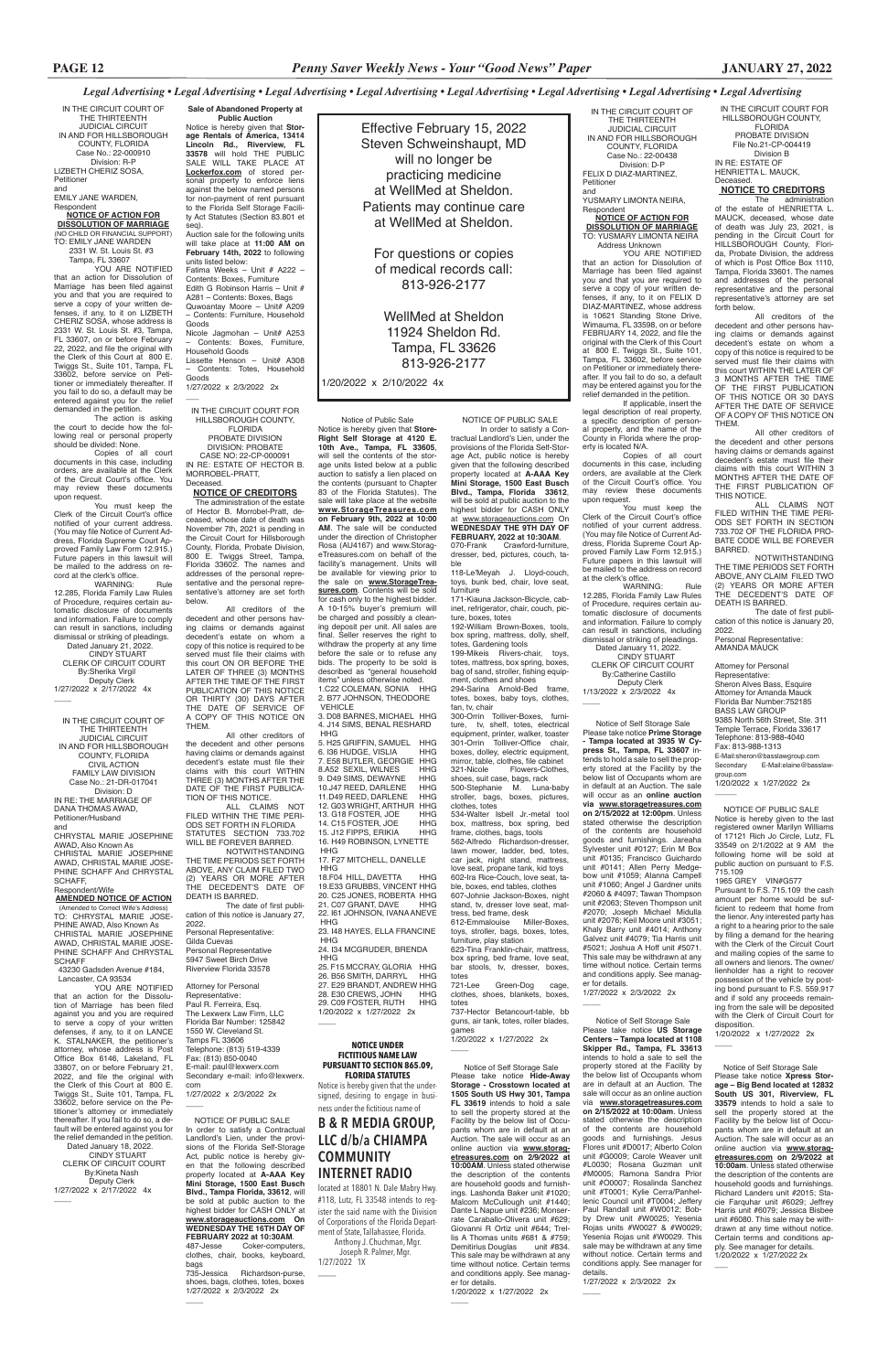Notice of Self Storage Sale Please take notice **Xpress Storage – Big Bend located at 12832 South US 301, Riverview, FL 33579** intends to hold a sale to sell the property stored at the Facility by the below list of Occupants whom are in default at an Auction. The sale will occur as an online auction via **www.storagetreasures.com on 2/9/2022 at 10:00am**. Unless stated otherwise the description of the contents are household goods and furnishings. Richard Landers unit #2015; Stacie Farquhar unit #6029: Jeffrey Harris unit #6079; Jessica Bisbee unit #6080. This sale may be withdrawn at any time without notice. Certain terms and conditions apply. See manager for details. 1/20/2022 x 1/27/2022 2x  $\overline{\phantom{0}}$ 

 NOTICE OF PUBLIC SALE In order to satisfy a Contractual Landlord's Lien, under the provisions of the Florida Self-Storage Act, public notice is hereby given that the following described property located at **A-AAA Key Mini Storage, 1500 East Busch Blvd., Tampa Florida, 33612**, will be sold at public auction to the highest bidder for CASH ONLY at **www.storageauctions.com On WEDNESDAY THE 16TH DAY OF FEBRUARY 2022 at 10:30AM.**<br>487-Jesse Coker-compute Coker-computers clothes, chair, books, keyboard, bags 735-Jessica Richardson-purse,

shoes, bags, clothes, totes, boxes 1/27/2022 x 2/3/2022 2x

 $\overline{\phantom{a}}$ 

You must keep the Clerk of the Circuit Court's office notified of your current address. (You may file Notice of Current Address, Florida Supreme Court Ap-proved Family Law Form 12.915.) Future papers in this lawsuit will be mailed to the address on record at the clerk's office.<br>WARNING:

 Notice of Self Storage Sale Please take notice **Hide-Away Storage - Crosstown located at 1505 South US Hwy 301, Tampa FL 33619** intends to hold a sale to sell the property stored at the Facility by the below list of Occupants whom are in default at an Auction. The sale will occur as an online auction via **www.storagetreasures.com on 2/9/2022 at 10:00AM**. Unless stated otherwise the description of the contents are household goods and furnishings. Lashonda Baker unit #1020; Malcom McCullough unit #1440; Dante L Napue unit #236; Monserrate Caraballo-Olivera unit #629; Giovanni R Ortiz unit #644; Trellis A Thomas units #681 & #759;<br>Demitirius Douglas unit #834. Demitirius Douglas This sale may be withdrawn at any time without notice. Certain terms and conditions apply. See manager for details. 1/20/2022 x 1/27/2022 2x

 $\overline{\phantom{a}}$ 

 In order to satisfy a Contractual Landlord's Lien, under the provisions of the Florida Self-Storage Act, public notice is hereby given that the following described property located at **A-AAA Key Mini Storage, 1500 East Busch Blvd., Tampa, Florida 33612**, will be sold at public auction to the highest bidder for CASH ONLY at www.storageauctions.com On **WEDNESDAY THE 9TH DAY OF FEBRUARY, 2022 at 10:30AM.**<br>070-Frank Crawford-furniture Crawford-furniture,

IN THE CIRCUIT COURT OF THE THIRTEENTH JUDICIAL CIRCUIT IN AND FOR HILLSBOROUGH COUNTY, FLORIDA Case No.: 22-00438 Division: D-P FELIX D DIAZ-MARTINEZ, Petitioner and

YUSMARY LIMONTA NEIRA, Respondent **NOTICE OF ACTION FOR**

**DISSOLUTION OF MARRIAGE** TO: YUSMARY LIMONTA NEIRA Address Unknown YOU ARE NOTIFIED

totes, boxes, baby toys, clothes, fan, tv, chair 300-Orrin Tolliver-Boxes, furniture, tv, shelf, totes, electrical equipment, printer, walker, toaster 301-Orrin Tolliver-Office chair, boxes, dolley, electric equipment, mirror, table, clothes, file cabinet<br>321-Nicole Flowers-Clothes Flowers-Clothes,

that an action for Dissolution of Marriage has been filed against you and that you are required to serve a copy of your written defenses, if any, to it on FELIX D DIAZ-MARTINEZ, whose address is 10621 Standing Stone Drive, Wimauma, FL 33598, on or before FEBRUARY 14, 2022, and file the original with the Clerk of this Court at 800 E. Twiggs St., Suite 101, Tampa, FL 33602, before service on Petitioner or immediately thereafter. If you fail to do so, a default may be entered against you for the relief demanded in the petition.

bar stools, tv, dresser, boxes, totes<br>721-Lee Green-Dog cage clothes, shoes, blankets, boxes,

 $\overline{\phantom{a}}$ 

If applicable, insert the legal description of real property, a specific description of personal property, and the name of the County in Florida where the property is located N/A.

Notice is hereby given that **Store-Right Self Storage at 4120 E. 10th Ave., Tampa, FL 33605**, will sell the contents of the storage units listed below at a public auction to satisfy a lien placed on the contents (pursuant to Chapter 83 of the Florida Statutes). The sale will take place at the website **www.StorageTreasures.com on February 9th, 2022 at 10:00 AM**. The sale will be conducted under the direction of Christopher Rosa (AU4167) and www.StorageTreasures.com on behalf of the facility's management. Units will be available for viewing prior to the sale on **www.StorageTrea**sures.com. Contents will be sold for cash only to the highest bidder. A 10-15% buyer's premium will be charged and possibly a cleaning deposit per unit. All sales are final. Seller reserves the right to withdraw the property at any time before the sale or to refuse any bids. The property to be sold is described as "general household items" unless otherwise noted. 1.C22 COLEMAN, SONIA HHG 2. B77 JOHNSON, THEODORE VEHICLE 3. D08 BARNES, MICHAEL HHG 4. J14 SIMS, BENAL RESHARD HHG 5. H25 GRIFFIN, SAMUEL HHG<br>6. I36 HUDGE VISLIA HHG 6. I36 HUDGE, VISLIA

Copies of all court documents in this case, including orders, are available at the Clerk of the Circuit Court's office. You may review these documents upon request.

WARNING: Rule 12.285, Florida Family Law Rules of Procedure, requires certain automatic disclosure of documents and information. Failure to comply can result in sanctions, including dismissal or striking of pleadings. Dated January 11, 2022.

**7. E58 BUTLER, GEORGIE HHG<br>7. E58 BUTLER, GEORGIE HHG<br>8.A52 SEXIL, WILNES HHG** 8.A52 SEXIL, WILNES HHG 9. D49 SIMS, DEWAYNE 10.J47 REED, DARLENE HHG<br>11.D49 REED, DARLENE HHG 11.D49 REED, DARLENE 12. G03 WRIGHT, ARTHUR HHG 13. G18 FOSTER, JOE HHG<br>14. C15 FOSTER, JOE HHG 14. C15 FOSTER, JOE HHG 15. J12 FIPPS FRIKIA 16. H49 ROBINSON, LYNETTE HHG

25. F15 MCCRAY, GLORIA HHG 26. B56 SMITH, DARRYL HHG 27. E29 BRANDT, ANDREW HHG 28. E30 CREWS, JOHN 29. C09 FOSTER, RUTH HHG

 CINDY STUART CLERK OF CIRCUIT COURT By:Catherine Castillo Deputy Clerk

Effective February 15, 2022 Steven Schweinshaupt, MD will no longer be practicing medicine at WellMed at Sheldon. Patients may continue care at WellMed at Sheldon.

> For questions or copies of medical records call: 813-926-2177

WellMed at Sheldon 11924 Sheldon Rd. Tampa, FL 33626 813-926-2177

1/20/2022 x 2/10/2022 4x

NOTICE OF PUBLIC SALE

The date of first publication of this notice is January 20, 2022.

dresser, bed, pictures, couch, table 118-Le'Meyah J. Lloyd-couch,

toys, bunk bed, chair, love seat, furniture 171-Kiauna Jackson-Bicycle, cab-

inet, refrigerator, chair, couch, picture, boxes, totes 192-William Brown-Boxes, tools,

box spring, mattress, dolly, shelf, totes, Gardening tools 199-Mikeis Rivers-chair, toys, totes, mattress, box spring, boxes,

bag of sand, stroller, fishing equipment, clothes and shoes 294-Sarina Arnold-Bed frame,

shoes, suit case, bags, rack 500-Stephanie M. Luna-baby stroller, bags, boxes, pictures, clothes, totes 534-Walter Isbell Jr.-metal tool

box, mattress, box spring, bed frame, clothes, bags, tools 562-Alfredo Richardson-dresser, lawn mower, ladder, bed, totes, car jack, night stand, mattress, love seat, propane tank, kid toys 602-Ira Rice-Couch, love seat, table, boxes, end tables, clothes 607-Johnie Jackson-Boxes, night stand, tv, dresser love seat, mattress, bed frame, desk

612-Emmalouise Miller-Boxes, toys, stroller, bags, boxes, totes, furniture, play station 623-Tina Franklin-chair, mattress,

box spring, bed frame, love seat,

totes

Notice of Public Sale

1/27/2022 x 2/3/2022 2x  $\overline{\phantom{0}}$ 

IN THE CIRCUIT COURT FOR HILLSBOROUGH COUNTY, FLORIDA PROBATE DIVISION DIVISION: PROBATE

The Lexwerx Law Firm, LLC Florida Bar Number: 125842 1550 W. Cleveland St. Tamps FL 33606 Telephone: (813) 519-4339 Fax: (813) 850-0040 E-mail: paul@lexwerx.com Secondary e-mail: info@lexwerx. com 1/27/2022 x 2/3/2022 2x

 $\overline{\phantom{a}}$ 

17. F27 MITCHELL, DANELLE HHG

YOU ARE NOTIFIED that an action for Dissolution of Marriage has been filed against you and that you are required to serve a copy of your written defenses, if any, to it on LIZBETH CHERIZ SOSA, whose address is 2331 W. St. Louis St. #3, Tampa, FL 33607, on or before February 22, 2022, and file the original with the Clerk of this Court at 800 E. Twiggs St., Suite 101, Tampa, FL 33602, before service on Petitioner or immediately thereafter. If you fail to do so, a default may be entered against you for the relief demanded in the petition.

> 18.F04 HILL, DAVETTA HHG 19.E33 GRUBBS, VINCENT HHG 20. C25 JONES, ROBERTA HHG<br>21. C07 GRANT, DAVE HHG 21. C07 GRANT, DAVE 22. I61 JOHNSON, IVANA ANEVE HHG

1/13/2022 x 2/3/2022 4x  $\overline{\phantom{a}}$  Notice of Self Storage Sale Please take notice **Prime Storage - Tampa located at 3935 W Cy-**

23. I48 HAYES, ELLA FRANCINE HHG 24. I34 MCGRUDER, BRENDA

HHG

1/20/2022 x 1/27/2022 2x

 $\overline{\phantom{a}}$ 

IN THE CIRCUIT COURT FOR HILLSBOROUGH COUNTY, FLORIDA PROBATE DIVISION File No.21-CP-004419 Division B IN RE: ESTATE OF HENRIETTA L. MAUCK, Deceased.  **NOTICE TO CREDITORS**

The administration of the estate of HENRIETTA L. MAUCK, deceased, whose date of death was July 23, 2021, is pending in the Circuit Court for HILLSBOROUGH County, Florida, Probate Division, the address of which is Post Office Box 1110, Tampa, Florida 33601. The names and addresses of the personal representative and the personal representative's attorney are set forth below.

WARNING: Rule 12.285, Florida Family Law Rules of Procedure, requires certain automatic disclosure of documents and information. Failure to comply can result in sanctions, including dismissal or striking of pleadings. Dated January 21, 2022. CINDY STUART CLERK OF CIRCUIT COURT By:Sherika Virgil

 Deputy Clerk 1/27/2022 x 2/17/2022 4x  $\overline{\phantom{a}}$ 

All creditors of the decedent and other persons having claims or demands against decedent's estate on whom a copy of this notice is required to be served must file their claims with this court WITHIN THE LATER OF 3 MONTHS AFTER THE TIME OF THE FIRST PUBLICATION OF THIS NOTICE OR 30 DAYS AFTER THE DATE OF SERVICE OF A COPY OF THIS NOTICE ON THEM.

All other creditors of the decedent and other persons having claims or demands against decedent's estate must file their claims with this court WITHIN 3 MONTHS AFTER THE DATE OF THE FIRST PUBLICATION OF THIS NOTICE.

ALL CLAIMS NOT FILED WITHIN THE TIME PERI-ODS SET FORTH IN SECTION 733.702 OF THE FLORIDA PRO-BATE CODE WILL BE FOREVER BARRED.

NOTWITHSTANDING THE TIME PERIODS SET FORTH ABOVE, ANY CLAIM FILED TWO (2) YEARS OR MORE AFTER THE DECEDENT'S DATE OF DEATH IS BARRED.

Personal Representative: AMANDA MAUCK

Attorney for Personal

Representative: Sheron Alves Bass, Esquire Attorney for Amanda Mauck Florida Bar Number:752185 BASS LAW GROUP 9385 North 56th Street, Ste. 311 Temple Terrace, Florida 33617 Telephone: 813-988-4040 Fax: 813-988-1313 E-Mail:sheron@basslawgroup.com<br>Secondary E-Mail:elaine@bass E-Mail:elaine@basslawgroup.com

1/20/2022 x 1/27/2022 2x

 $\overline{\phantom{a}}$ 

 $\overline{\phantom{a}}$ 

 NOTICE OF PUBLIC SALE Notice is hereby given to the last registered owner Marilyn Williams of 17121 Rich Jo Circle, Lutz, FL 33549 on 2/1/2022 at 9 AM the following home will be sold at public auction on pursuant to F.S. 715.109

1965 GREY VIN#G577 Pursuant to F.S. 715.109 the cash amount per home would be sufficient to redeem that home from the lienor. Any interested party has a right to a hearing prior to the sale by filing a demand for the hearing with the Clerk of the Circuit Court and mailing copies of the same to all owners and lienors. The owner/ lienholder has a right to recover possession of the vehicle by posting bond pursuant to F.S. 559.917 and if sold any proceeds remain-<br>ing from the sale will be deposited will be deposited with the Clerk of Circuit Court for disposition. 1/20/2022 x 1/27/2022 2x

 Notice of Self Storage Sale Please take notice **US Storage Centers – Tampa located at 1108 Skipper Rd., Tampa, FL 33613** intends to hold a sale to sell the property stored at the Facility by the below list of Occupants whom are in default at an Auction. The sale will occur as an online auction via **www.storagetreasures.com on 2/15/2022 at 10:00am**. Unless stated otherwise the description of the contents are household goods and furnishings. Jesus Flores unit #D0017; Alberto Colon unit #G0009; Carole Weaver unit #L0030; Rosana Guzman unit #M0005; Ramona Sandra Prior unit #O0007; Rosalinda Sanchez unit #T0001; Kylie Cerra/Panhellenic Council unit #T0004; Jeffery Paul Randall unit #W0012; Bobby Drew unit #W0025; Yesenia Rojas units #W0027 & #W0029; Yesenia Rojas unit #W0029. This sale may be withdrawn at any time without notice. Certain terms and conditions apply. See manager for

details.

 $\overline{\phantom{a}}$ 

1/27/2022 x 2/3/2022 2x

**press St., Tampa, FL 33607** intends to hold a sale to sell the property stored at the Facility by the below list of Occupants whom are in default at an Auction. The sale will occur as an **online auction via www.storagetreasures.com on 2/15/2022 at 12:00pm**. Unless stated otherwise the description of the contents are household goods and furnishings. Jareaha Sylvester unit #0127; Erin M Box unit #0135; Francisco Guichardo unit #0141; Allen Perry Medgebow unit #1059; Alanna Campell unit #1060; Angel J Gardner units #2060 & #4097; Tawan Thompson unit #2063; Steven Thompson unit #2070; Joseph Michael Midulla unit #2076; Keil Moore unit #3051; Khaly Barry unit #4014; Anthony Galvez unit #4079; Tia Harris unit #5021; Joshua A Hoff unit #5071. This sale may be withdrawn at any time without notice. Certain terms and conditions apply. See manager for details.

1/27/2022 x 2/3/2022 2x

**Sale of Abandoned Property at Public Auction** Notice is hereby given that **Stor-age Rentals of America, 13414 Lincoln Rd., Riverview, FL 33578** will hold THE PUBLIC SALE WILL TAKE PLACE AT **Lockerfox.com** of stored personal property to enforce liens against the below named persons for non-payment of rent pursuant to the Florida Self Storage Facility Act Statutes (Section 83.801 et seq). Auction sale for the following units

will take place at **11:00 AM on February 14th, 2022** to following units listed below: Fatima Weeks – Unit # A222 – Contents: Boxes, Furniture Edith G Robinson Harris – Unit # A281 – Contents: Boxes, Bags Quwoantay Moore – Unit# A209 – Contents: Furniture, Household Goods Nicole Jagmohan – Unit# A253 – Contents: Boxes, Furniture,

Household Goods Lissette Henson – Unit# A308 – Contents: Totes, Household Goods

CASE NO: 22-CP-000091 IN RE: ESTATE OF HECTOR B. MORROBEL-PRATT, Deceased.

### **NOTICE OF CREDITORS**

 The administration of the estate of Hector B. Morrobel-Pratt, deceased, whose date of death was November 7th, 2021 is pending in the Circuit Court for Hillsborough County, Florida, Probate Division, 800 E. Twiggs Street, Tampa, Florida 33602. The names and addresses of the personal representative and the personal representative's attorney are set forth below.

All creditors of the decedent and other persons having claims or demands against decedent's estate on whom a copy of this notice is required to be served must file their claims with this court ON OR BEFORE THE LATER OF THREE (3) MONTHS AFTER THE TIME OF THE FIRST PUBLICATION OF THIS NOTICE OR THIRTY (30) DAYS AFTER THE DATE OF SERVICE OF A COPY OF THIS NOTICE ON THEM.

All other creditors of the decedent and other persons having claims or demands against decedent's estate must file their claims with this court WITHIN THREE (3) MONTHS AFTER THE DATE OF THE FIRST PUBLICA-TION OF THIS NOTICE.

ALL CLAIMS NOT FILED WITHIN THE TIME PERI-ODS SET FORTH IN FLORIDA STATUTES SECTION 733.702 WILL BE FOREVER BARRED.

NOTWITHSTANDING THE TIME PERIODS SET FORTH ABOVE, ANY CLAIM FILED TWO (2) YEARS OR MORE AFTER THE DECEDENT'S DATE OF DEATH IS BARRED.

The date of first publication of this notice is January 27, 2022. Personal Representative: Gilda Cuevas Personal Representative 5947 Sweet Birch Drive Riverview Florida 33578

Attorney for Personal Representative: Paul R. Ferreira, Esq.

IN THE CIRCUIT COURT OF THE THIRTEENTH JUDICIAL CIRCUIT IN AND FOR HILLSBOROUGH COUNTY, FLORIDA Case No.: 22-000910 Division: R-P LIZBETH CHERIZ SOSA, Petitioner and EMILY JANE WARDEN,

Respondent

### **NOTICE OF ACTION FOR DISSOLUTION OF MARRIAGE**

(NO CHILD OR FINANCIAL SUPPORT) TO: EMILY JANE WARDEN 2331 W. St. Louis St. #3 Tampa, FL 33607

The action is asking the court to decide how the following real or personal property should be divided: None.

Copies of all court documents in this case, including orders, are available at the Clerk of the Circuit Court's office. You may review these documents upon request.

You must keep the Clerk of the Circuit Court's office notified of your current address. (You may file Notice of Current Address, Florida Supreme Court Approved Family Law Form 12.915.) Future papers in this lawsuit will be mailed to the address on re-cord at the clerk's office.

IN THE CIRCUIT COURT OF THE THIRTEENTH JUDICIAL CIRCUIT IN AND FOR HILLSBOROUGH COUNTY, FLORIDA CIVIL ACTION FAMILY LAW DIVISION Case No.: 21-DR-017041 Division: D IN RE: THE MARRIAGE OF DANA THOMAS AWAD, Petitioner/Husband

and CHRYSTAL MARIE JOSEPHINE AWAD, Also Known As CHRISTAL MARIE JOSEPHINE AWAD, CHRISTAL MARIE JOSE-PHINE SCHAFF And CHRYSTAL SCHAFF,

# Respondent/Wife

**AMENDED NOTICE OF ACTION** (Amended to Correct Wife's Address) TO: CHRYSTAL MARIE JOSE-PHINE AWAD, Also Known As CHRISTAL MARIE JOSEPHINE AWAD, CHRISTAL MARIE JOSE-PHINE SCHAFF And CHRYSTAL SCHAFF

 43230 Gadsden Avenue #184, Lancaster, CA 93534

YOU ARE NOTIFIED that an action for the Dissolution of Marriage has been filed

against you and you are required to serve a copy of your written defenses, if any, to it on LANCE K. STALNAKER, the petitioner's attorney, whose address is Post Office Box 6146, Lakeland, FL 33807, on or before February 21, 2022, and file the original with the Clerk of this Court at 800 E. Twiggs St., Suite 101, Tampa, FL 33602, before service on the Petitioner's attorney or immediately thereafter. If you fail to do so, a default will be entered against you for the relief demanded in the petition. Dated January 18, 2022. CINDY STUART CLERK OF CIRCUIT COURT By:Kineta Nash Deputy Clerk 1/27/2022 x 2/17/2022 4x

 $\overline{\phantom{a}}$ 

### **NOTICE UNDER FICTITIOUS NAME LAW PURSUANT TO SECTION 865.09, FLORIDA STATUTES**

Notice is hereby given that the undersigned, desiring to engage in business under the fictitious name of

# **B & R MEDIA GROUP, LLC d/b/a CHIAMPA COMMUNITY INTERNET RADIO**

located at 18801 N. Dale Mabry Hwy. #118, Lutz, FL 33548 intends to register the said name with the Division of Corporations of the Florida Department of State, Tallahassee, Florida. Anthony J. Chuchman, Mgr. Joseph R. Palmer, Mgr. 1/27/2022 1X \_\_\_\_

737-Hector Betancourt-table, guns, air tank, totes, roller blades, games 1/20/2022 x 1/27/2022 2x  $\overline{\phantom{a}}$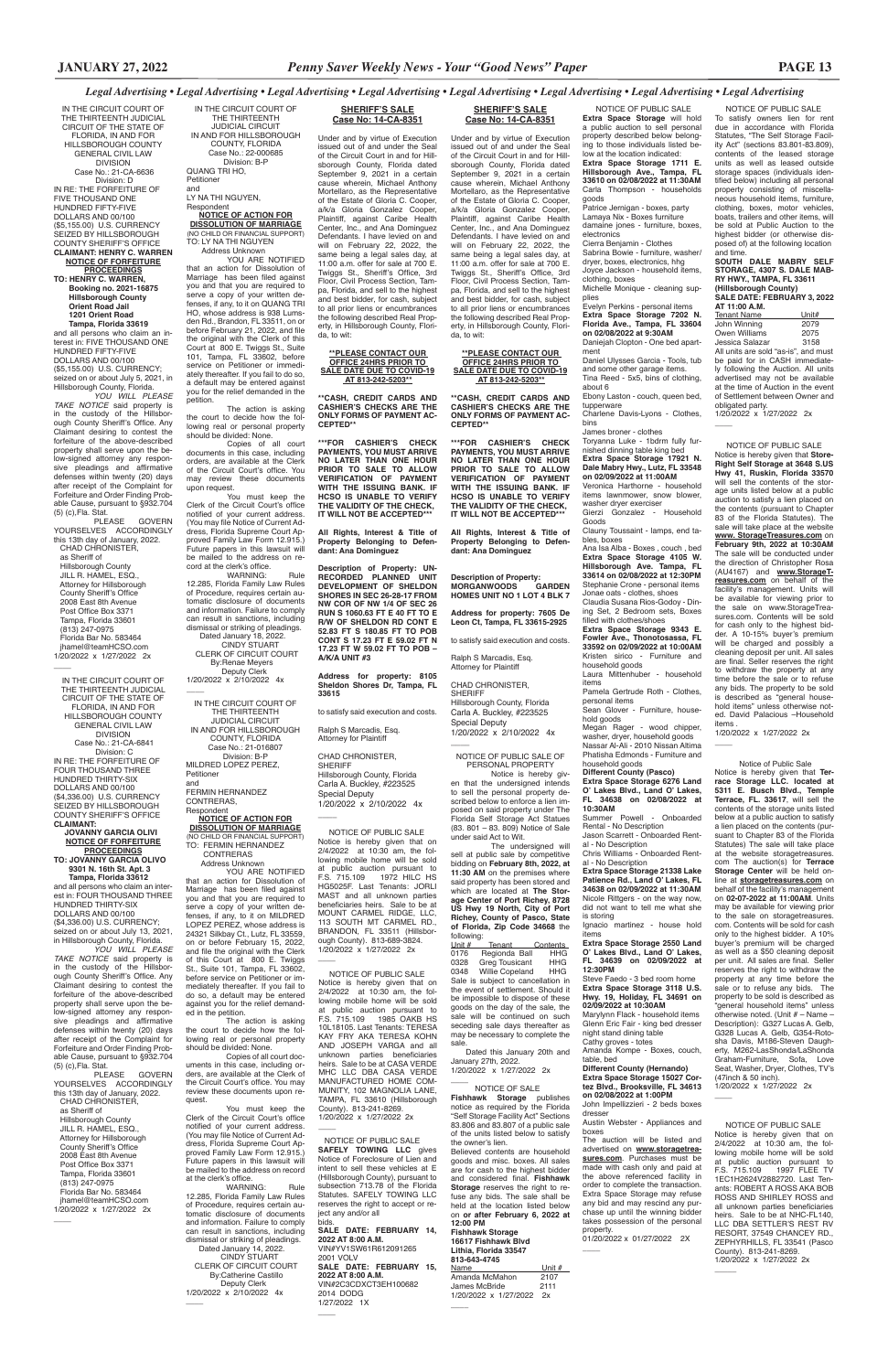NOTICE OF PUBLIC SALE To satisfy owners lien for rent due in accordance with Florida Statutes, "The Self Storage Facility Act" (sections 83.801-83.809), contents of the leased storage units as well as leased outside storage spaces (individuals identified below) including all personal property consisting of miscellaneous household items, furniture, clothing, boxes, motor vehicles, boats, trailers and other items, will be sold at Public Auction to the highest bidder (or otherwise disposed of) at the following location and time.

NOTICE OF PUBLIC SALE Notice is hereby given that **Store-Right Self Storage at 3648 S.US Hwy 41, Ruskin, Florida 33570** will sell the contents of the storage units listed below at a public auction to satisfy a lien placed on the contents (pursuant to Chapter 83 of the Florida Statutes). sale will take place at the website **www. StorageTreasures.com** on **February 9th, 2022 at 10:30AM**  The sale will be conducted under the direction of Christopher Rosa (AU4167) and **www.StorageTreasures.com** on behalf of the facility's management. Units will be available for viewing prior to the sale on www.StorageTreasures.com. Contents will be sold for cash only to the highest bidder. A 10-15% buyer's premium will be charged and possibly a cleaning deposit per unit. All sales are final. Seller reserves the right to withdraw the property at any time before the sale or to refuse any bids. The property to be sold is described as "general household items" unless otherwise noted. David Palacious –Household items

**SOUTH DALE MABRY SELF STORAGE, 4307 S. DALE MAB-RY HWY., TAMPA, FL 33611 (Hillsborough County) SALE DATE: FEBRUARY 3, 2022** 

**AT 11:00 A.M.** Tenant Name Unit#<br>John Winning 2079 John Winning 2079<br>Owen Williams 2075 Owen Williams 2075<br>
Jessica Salazar 3158 Jessica Salazar All units are sold "as-is", and must be paid for in CASH immediately following the Auction. All units advertised may not be available at the time of Auction in the event of Settlement between Owner and

 NOTICE OF PUBLIC SALE Notice is hereby given that on 2/4/2022 at 10:30 am, the following mobile home will be sold at public auction pursuant to F.S. 715.109 1972 HILC HS HG5025F. Last Tenants: JORLI MAST and all unknown parties beneficiaries heirs. Sale to be at MOUNT CARMEL RIDGE, LLC, 113 SOUTH MT CARMEL RD., BRANDON, FL 33511 (Hillsborough County). 813-689-3824. 1/20/2022 x 1/27/2022 2x  $\overline{\phantom{a}}$ 

obligated party. 1/20/2022 x 1/27/2022 2x

 $\overline{\phantom{a}}$ 

The action is asking<br>the court to decide how the following real or personal property should be divided: None.

1/20/2022 x 1/27/2022 2x

 $\overline{\phantom{a}}$ 

You must keep the<br>Clerk of the Circuit Court's office notified of your current address. (You may file Notice of Current Address, Florida Supreme Court Approved Family Law Form 12.915.) Future papers in this lawsuit will be mailed to the address on record at the clerk's office.

WARNING: Rule 12.285, Florida Family Law Rules of Procedure, requires certain automatic disclosure of documents and information. Failure to comply can result in sanctions, including dismissal or striking of pleadings. Dated January 18, 2022.

 CINDY STUART CLERK OF CIRCUIT COURT By:Renae Meyers Deputy Clerk<br>1/20/2022 x 2/10/2022 4x

 $\overline{\phantom{a}}$ 

**Respondent NOTICE OF ACTION FOR DISSOLUTION OF MARRIAGE** (NO CHILD OR FINANCIAL SUPPORT) TO: FERMIN HERNANDEZ CONTRERAS

NOTICE OF PUBLIC SALE

Notice is hereby given that on 2/4/2022 at 10:30 am, the following mobile home will be sold at public auction pursuant to F.S. 715.109 1997 FLEE TV 1EC1H2624V2882720. Last Tenants: ROBERT A ROSS AKA BOB ROSS AND SHIRLEY ROSS and all unknown parties beneficiaries heirs. Sale to be at NHC-FL140, LLC DBA SETTLER'S REST RV RESORT, 37549 CHANCEY RD., ZEPHYRHILLS, FL 33541 (Pasco County). 813-241-8269. 1/20/2022 x 1/27/2022 2x

 $\overline{\phantom{a}}$ 

IN THE CIRCUIT COURT OF THE THIRTEENTH JUDICIAL CIRCUIT IN AND FOR HILLSBOROUGH COUNTY, FLORIDA Case No.: 22-000685 Division: B-P QUANG TRI HO,

Petitioner and LY NA THI NGUYEN, Respondent

### **NOTICE OF ACTION FOR DISSOLUTION OF MARRIAGE**

(NO CHILD OR FINANCIAL SUPPORT) TO: LY NA THI NGUYEN

 Address Unknown YOU ARE NOTIFIED that an action for Dissolution of Marriage has been filed against you and that you are required to serve a copy of your written defenses, if any, to it on QUANG TRI HO, whose address is 938 Lumsden Rd., Brandon, FL 33511, on or before February 21, 2022, and file the original with the Clerk of this Court at 800 E. Twiggs St., Suite 101, Tampa, FL 33602, before service on Petitioner or immedi-ately thereafter. If you fail to do so, a default may be entered against you for the relief demanded in the petition.

PLEASE GOVERN YOURSELVES ACCORDINGLY this 13th day of January, 2022. CHAD CHRONISTER, as Sheriff of Hillsborough County JILL R. HAMEL, ESQ., Attorney for Hillsborough County Sheriff's Office 2008 East 8th Avenue Post Office Box 3371 Tampa, Florida 33601 (813) 247-0975 Florida Bar No. 583464 jhamel@teamHCSO.com 1/20/2022 x 1/27/2022 2x  $\overline{\phantom{a}}$ 

Copies of all court documents in this case, including orders, are available at the Clerk of the Circuit Court's office. You may review these documents upon request.

IN THE CIRCUIT COURT OF THE THIRTEENTH JUDICIAL CIRCUIT IN AND FOR HILLSBOROUGH COUNTY, FLORIDA Case No.: 21-016807 Division: B-P MILDRED LOPEZ PEREZ, Petitioner and FERMIN HERNANDEZ CONTRERAS,

> following:<br>Unit # Tenant Unit # Tenant Contents<br>0176 Regionda Ball HHG Regionda Ball 0328 Greg Tousicant HHG 0348 Willie Copeland HHG Sale is subject to cancellation in the event of settlement. Should it be impossible to dispose of these on the day of the sale, the sale will be continued on such seceding sale days thereafter as may be necessary to complete the sale.

 Dated this January 20th and January 27th, 2022. 1/20/2022 x 1/27/2022 2x  $\overline{\phantom{a}}$ 

 Address Unknown YOU ARE NOTIFIED that an action for Dissolution of Marriage has been filed against you and that you are required to serve a copy of your written defenses, if any, to it on MILDRED LOPEZ PEREZ, whose address is 24321 Silkbay Ct., Lutz, FL 33559, on or before February 15, 2022, and file the original with the Clerk of this Court at 800 E. Twiggs St., Suite 101, Tampa, FL 33602, before service on Petitioner or immediately thereafter. If you fail to do so, a default may be entered against you for the relief demand-ed in the petition.

> **Fishhawk Storage 16617 Fishhawk Blvd Lithia, Florida 33547 813-643-4745** Name Unit #

 $\overline{\phantom{a}}$ 

The action is asking the court to decide how the following real or personal property should be divided: None.

Copies of all court documents in this case, including orders, are available at the Clerk of the Circuit Court's office. You may review these documents upon request.

You must keep the Clerk of the Circuit Court's office notified of your current address. (You may file Notice of Current Address, Florida Supreme Court Approved Family Law Form 12.915.) Future papers in this lawsuit will be mailed to the address on record at the clerk's office.

WARNING: Rule 12.285, Florida Family Law Rules of Procedure, requires certain automatic disclosure of documents and information. Failure to comply can result in sanctions, including dismissal or striking of pleadings. Dated January 14, 2022. CINDY STUART CLERK OF CIRCUIT COURT By:Catherine Castillo Deputy Clerk 1/20/2022 x 2/10/2022 4x  $\overline{\phantom{a}}$ 

Carla A. Buckley, #223525 Special Deputy 1/20/2022 x 2/10/2022 4x  $\overline{\phantom{a}}$ 

IN THE CIRCUIT COURT OF THE THIRTEENTH JUDICIAL CIRCUIT OF THE STATE OF FLORIDA, IN AND FOR HILLSBOROUGH COUNTY GENERAL CIVIL LAW DIVISION Case No.: 21-CA-6636 Division: D IN RE: THE FORFEITURE OF FIVE THOUSAND ONE HUNDRED FIFTY-FIVE DOLLARS AND 00/100 (\$5,155.00) U.S. CURRENCY SEIZED BY HILLSBOROUGH COUNTY SHERIFF'S OFFICE **CLAIMANT: HENRY C. WARREN NOTICE OF FORFEITURE PROCEEDINGS TO: HENRY C. WARREN, Booking no. 2021-16875 Hillsborough County Orient Road Jail 1201 Orient Road Tampa, Florida 33619** and all persons who claim an in-

terest in: FIVE THOUSAND ONE HUNDRED FIFTY-FIVE DOLLARS AND 00/100 (\$5,155.00) U.S. CURRENCY; seized on or about July 5, 2021, in Hillsborough County, Florida.

> CHAD CHRONISTER, SHERIFF Hillsborough County, Florida Carla A. Buckley, #223525 Special Deputy 1/20/2022 x 2/10/2022 4x  $\overline{\phantom{a}}$

 NOTICE OF PUBLIC SALE Notice is hereby given that on 2/4/2022 at 10:30 am, the following mobile home will be sold at public auction pursuant to F.S. 715.109 1985 OAKB HS 10L18105. Last Tenants: TERESA KAY FRY AKA TERESA KOHN AND JOSEPH VARGA and all unknown parties beneficiaries heirs. Sale to be at CASA VERDE MHC LLC DBA CASA VERDE MANUFACTURED HOME COM-MUNITY, 102 MAGNOLIA LANE, TAMPA, FL 33610 (Hillsborough County). 813-241-8269. 1/20/2022 x 1/27/2022 2x  $\overline{\phantom{a}}$ 

*YOU WILL PLEASE TAKE NOTICE* said property is in the custody of the Hillsborough County Sheriff's Office. Any Claimant desiring to contest the forfeiture of the above-described property shall serve upon the below-signed attorney any responsive pleadings and affirmative defenses within twenty (20) days after receipt of the Complaint for Forfeiture and Order Finding Probable Cause, pursuant to §932.704 (5) (c),Fla. Stat.

IN THE CIRCUIT COURT OF THE THIRTEENTH JUDICIAL CIRCUIT OF THE STATE OF FLORIDA, IN AND FOR HILLSBOROUGH COUNTY GENERAL CIVIL LAW DIVISION Case No.: 21-CA-6841 Division: C IN RE: THE FORFEITURE OF FOUR THOUSAND THREE HUNDRED THIRTY-SIX DOLLARS AND 00/100 (\$4,336.00) U.S. CURRENCY SEIZED BY HILLSBOROUGH COUNTY SHERIFF'S OFFICE **CLAIMANT:** 

 **JOVANNY GARCIA OLIVI NOTICE OF FORFEITURE PROCEEDINGS TO: JOVANNY GARCIA OLIVO 9301 N. 16th St. Apt. 3 Tampa, Florida 33612** and all persons who claim an interest in: FOUR THOUSAND THREE HUNDRED THIRTY-SIX

DOLLARS AND 00/100 (\$4,336.00) U.S. CURRENCY; seized on or about July 13, 2021, in Hillsborough County, Florida. *YOU WILL PLEASE* 

*TAKE NOTICE* said property is in the custody of the Hillsborough County Sheriff's Office. Any Claimant desiring to contest the forfeiture of the above-described property shall serve upon the be-

> **tez Blvd., Brooksville, FL 34613 on 02/08/2022 at 1:00PM**  $\overline{\phantom{a}}$

low-signed attorney any responsive pleadings and affirmative defenses within twenty (20) days after receipt of the Complaint for Forfeiture and Order Finding Probable Cause, pursuant to §932.704 (5) (c),Fla. Stat.

PLEASE GOVERN YOURSELVES ACCORDINGLY this 13th day of January, 2022. CHAD CHRONISTER, as Sheriff of Hillsborough County JILL R. HAMEL, ESQ., Attorney for Hillsborough County Sheriff's Office 2008 East 8th Avenue Post Office Box 3371 Tampa, Florida 33601 (813) 247-0975 Florida Bar No. 583464 jhamel@teamHCSO.com 1/20/2022 x 1/27/2022 2x

 $\overline{\phantom{a}}$ 

NOTICE OF PUBLIC SALE OF PERSONAL PROPERTY

Notice is hereby given that the undersigned intends to sell the personal property described below to enforce a lien imposed on said property under The Florida Self Storage Act Statues (83. 801 – 83. 809) Notice of Sale under said Act to Wit.

The undersigned will sell at public sale by competitive bidding on **February 8th, 2022, at 11:30 AM** on the premises where said property has been stored and which are located at **The Storage Center of Port Richey, 8728 US Hwy 19 North, City of Port Richey, County of Pasco, State of Florida, Zip Code 34668** the

NOTICE OF SALE

**Fishhawk Storage** publishes notice as required by the Florida "Self Storage Facility Act" Sections 83.806 and 83.807 of a public sale of the units listed below to satisfy the owner's lien.

Believed contents are household goods and misc. boxes. All sales are for cash to the highest bidder and considered final. **Fishhawk Storage** reserves the right to refuse any bids. The sale shall be held at the location listed below on **or after February 6, 2022 at 12:00 PM**

Amanda McMahon 2107 James McBride 2111 1/20/2022 x 1/27/2022 2x

## **SHERIFF'S SALE Case No: 14-CA-8351**

Under and by virtue of Execution issued out of and under the Seal of the Circuit Court in and for Hillsborough County, Florida dated September 9, 2021 in a certain cause wherein, Michael Anthony Mortellaro, as the Representative of the Estate of Gloria C. Cooper, a/k/a Gloria Gonzalez Cooper, Plaintiff, against Caribe Health Center, Inc., and Ana Dominguez Defendants. I have levied on and will on February 22, 2022, the same being a legal sales day, at 11:00 a.m. offer for sale at 700 E. Twiggs St., Sheriff's Office, 3rd Floor, Civil Process Section, Tampa, Florida, and sell to the highest and best bidder, for cash, subject to all prior liens or encumbrances the following described Real Property, in Hillsborough County, Florida, to wit:

### **\*\*PLEASE CONTACT OUR OFFICE 24HRS PRIOR TO SALE DATE DUE TO COVID-19 AT 813-242-5203\*\***

**\*\*CASH, CREDIT CARDS AND CASHIER'S CHECKS ARE THE ONLY FORMS OF PAYMENT AC-CEPTED\*\***

**\*\*\*FOR CASHIER'S CHECK PAYMENTS, YOU MUST ARRIVE NO LATER THAN ONE HOUR PRIOR TO SALE TO ALLOW VERIFICATION OF PAYMENT WITH THE ISSUING BANK. IF HCSO IS UNABLE TO VERIFY THE VALIDITY OF THE CHECK, IT WILL NOT BE ACCEPTED\*\*\***

**All Rights, Interest & Title of Property Belonging to Defendant: Ana Dominguez**

**Description of Property: MORGANWOODS GARDEN HOMES UNIT NO 1 LOT 4 BLK 7**

**Address for property: 7605 De Leon Ct, Tampa, FL 33615-2925**

to satisfy said execution and costs. Ralph S Marcadis, Esq.

Attorney for Plaintiff

CHAD CHRONISTER, SHERIFF Hillsborough County, Florida

### **SHERIFF'S SALE Case No: 14-CA-8351**

Under and by virtue of Execution issued out of and under the Seal of the Circuit Court in and for Hillsborough County, Florida dated September 9, 2021 in a certain cause wherein, Michael Anthony Mortellaro, as the Representative of the Estate of Gloria C. Cooper, a/k/a Gloria Gonzalez Cooper, Plaintiff, against Caribe Health Center, Inc., and Ana Dominguez Defendants. I have levied on and will on February 22, 2022, the same being a legal sales day, at 11:00 a.m. offer for sale at 700 E. Twiggs St., Sheriff's Office, 3rd Floor, Civil Process Section, Tampa, Florida, and sell to the highest and best bidder, for cash, subject to all prior liens or encumbrances the following described Real Property, in Hillsborough County, Florida, to wit:

### **\*\*PLEASE CONTACT OUR OFFICE 24HRS PRIOR TO SALE DATE DUE TO COVID-19 AT 813-242-5203\*\***

**\*\*CASH, CREDIT CARDS AND CASHIER'S CHECKS ARE THE ONLY FORMS OF PAYMENT AC-CEPTED\*\***

**\*\*\*FOR CASHIER'S CHECK PAYMENTS, YOU MUST ARRIVE NO LATER THAN ONE HOUR PRIOR TO SALE TO ALLOW VERIFICATION OF PAYMENT WITH THE ISSUING BANK. IF HCSO IS UNABLE TO VERIFY THE VALIDITY OF THE CHECK, IT WILL NOT BE ACCEPTED\*\*\***

**All Rights, Interest & Title of Property Belonging to Defendant: Ana Dominguez**

**Description of Property: UN-RECORDED PLANNED UNIT DEVELOPMENT OF SHELDON SHORES IN SEC 26-28-17 FROM NW COR OF NW 1/4 OF SEC 26 RUN S 1060.63 FT E 40 FT TO E R/W OF SHELDON RD CONT E 52.83 FT S 180.85 FT TO POB CONT S 17.23 FT E 59.02 FT N 17.23 FT W 59.02 FT TO POB – A/K/A UNIT #3**

**Address for property: 8105 Sheldon Shores Dr, Tampa, FL 33615**

to satisfy said execution and costs.

Ralph S Marcadis, Esq. Attorney for Plaintiff

 NOTICE OF PUBLIC SALE **Extra Space Storage** will hold a public auction to sell personal property described below belonging to those individuals listed below at the location indicated: **Extra Space Storage 1711 E. Hillsborough Ave., Tampa, FL 33610 on 02/08/2022 at 11:30AM** Carla Thompson - households

goods Patrice Jernigan - boxes, party Lamaya Nix - Boxes furniture damaine jones - furniture, boxes, electronics

Cierra Benjamin - Clothes Sabrina Bowie - furniture, washer/ dryer, boxes, electronics, hhg Joyce Jackson - household items,

clothing, boxes Michelle Monique - cleaning supplies

Evelyn Perkins - personal items **Extra Space Storage 7202 N. Florida Ave., Tampa, FL 33604 on 02/08/2022 at 9:30AM** Daniejah Clopton - One bed apart-

ment Daniel Ulysses Garcia - Tools, tub and some other garage items. Tina Reed - 5x5, bins of clothing,

about 6 Ebony Laston - couch, queen bed,

tupperware Charlene Davis-Lyons - Clothes,

bins James broner - clothes

Toryanna Luke - 1bdrm fully furnished dinning table king bed **Extra Space Storage 17921 N. Dale Mabry Hwy., Lutz, FL 33548 on 02/09/2022 at 11:00AM** Veronica Harthorne - household items lawnmower, snow blower,

washer dryer exerciser Gierzi Gonzalez - Household Goods

Clauny Toussaint - lamps, end tables, boxes

Ana Isa Alba - Boxes , couch , bed **Extra Space Storage 4105 W. Hillsborough Ave. Tampa, FL 33614 on 02/08/2022 at 12:30PM** Stephanie Crone - personal items Jonae oats - clothes, shoes

Claudia Susana Rios-Godoy - Dining Set, 2 Bedroom sets, Boxes filled with clothes/shoes **Extra Space Storage 9343 E.** 

**Fowler Ave., Thonotosassa, FL 33592 on 02/09/2022 at 10:00AM** Kristen sirico - Furniture and household goods Laura Mittenhuber - household

items

Pamela Gertrude Roth - Clothes, personal items Sean Glover - Furniture, house-

hold goods Megan Rager - wood chipper,

washer, dryer, household goods Nassar Al-Ali - 2010 Nissan Altima Phatisha Edmonds - Furniture and household goods

**Different County (Pasco) Extra Space Storage 6276 Land O' Lakes Blvd., Land O' Lakes,** 

**FL 34638 on 02/08/2022 at 10:30AM** Summer Powell - Onboarded Rental - No Description

Jason Scarrett - Onboarded Rental - No Description

Chris Williams - Onboarded Rental - No Description

**Extra Space Storage 21338 Lake Patience Rd., Land O' Lakes, FL 34638 on 02/09/2022 at 11:30AM**  Nicole Rittgers - on the way now, did not want to tell me what she is storing

Ignacio martinez - house hold

items **Extra Space Storage 2550 Land O' Lakes Blvd., Land O' Lakes, FL 34639 on 02/09/2022 at 12:30PM** 

Steve Faedo - 3 bed room home **Extra Space Storage 3118 U.S. Hwy. 19, Holiday, FL 34691 on 02/09/2022 at 10:30AM** 

Marylynn Flack - household items Glenn Eric Fair - king bed dresser night stand dining table Cathy groves - totes Amanda Kompe - Boxes, couch, table, bed **Different County (Hernando) Extra Space Storage 15027 Cor-**

John Impellizzieri - 2 beds boxes dresser

Austin Webster - Appliances and boxes

The auction will be listed and advertised on **www.storagetreasures.com**. Purchases must be made with cash only and paid at the above referenced facility in order to complete the transaction. Extra Space Storage may refuse any bid and may rescind any purchase up until the winning bidder takes possession of the personal property. 01/20/2022 x 01/27/2022 2X

 $\overline{\phantom{a}}$ 

# Notice of Public Sale

Notice is hereby given that **Ter-race Storage LLC. located at 5311 E. Busch Blvd., Temple Terrace, FL. 33617**, will sell the contents of the storage units listed below at a public auction to satisfy a lien placed on the contents (pursuant to Chapter 83 of the Florida Statutes) The sale will take place at the website storagetreasures. com The auction(s) for **Terrace Storage Center** will be held online at **storagetreasures.com** on behalf of the facility's management on **02-07-2022 at 11:00AM**. Units may be available for viewing prior to the sale on storagetreasures. com. Contents will be sold for cash only to the highest bidder. A 10% buyer's premium will be charged as well as a \$50 cleaning deposit per unit. All sales are final. Seller reserves the right to withdraw the property at any time before the sale or to refuse any bids. The property to be sold is described as aeneral household items" unless otherwise noted. (Unit # – Name – Description): G327 Lucas A. Gelb, G328 Lucas A. Gelb, G354-Rotosha Davis, M186-Steven Daugherty, M262-LasShonda/LaShonda Graham-Furniture, Sofa, Love Seat, Washer, Dryer, Clothes, TV's (47inch & 50 inch). 1/20/2022 x 1/27/2022 2x

 NOTICE OF PUBLIC SALE **SAFELY TOWING LLC** gives Notice of Foreclosure of Lien and intent to sell these vehicles at E (Hillsborough County), pursuant to subsection 713.78 of the Florida Statutes. SAFELY TOWING LLC reserves the right to accept or reject any and/or all

bids.

 $\overline{\phantom{a}}$ 

**SALE DATE: FEBRUARY 14, 2022 AT 8:00 A.M.** VIN#YV1SW61R612091265 2001 VOLV **SALE DATE: FEBRUARY 15, 2022 AT 8:00 A.M.** VIN#2C3CDXCT3EH100682 2014 DODG 1/27/2022 1X